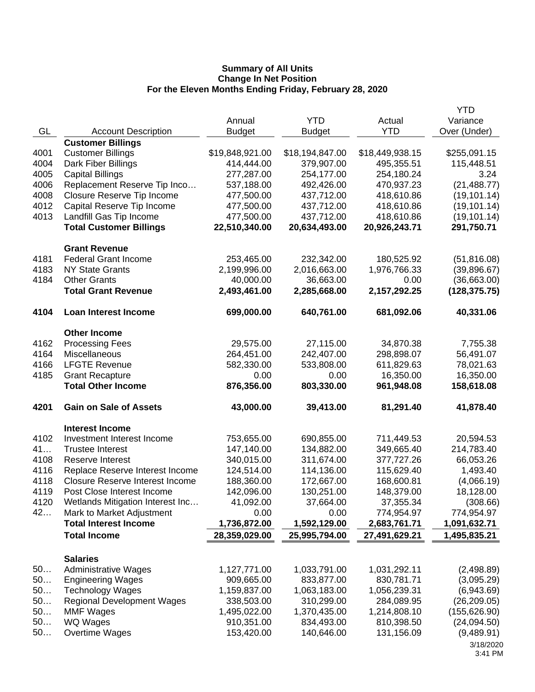|      |                                        |                 |                 |                 | <b>YTD</b>    |
|------|----------------------------------------|-----------------|-----------------|-----------------|---------------|
|      |                                        | Annual          | <b>YTD</b>      | Actual          | Variance      |
| GL   | <b>Account Description</b>             | <b>Budget</b>   | <b>Budget</b>   | <b>YTD</b>      | Over (Under)  |
|      | <b>Customer Billings</b>               |                 |                 |                 |               |
| 4001 | <b>Customer Billings</b>               | \$19,848,921.00 | \$18,194,847.00 | \$18,449,938.15 | \$255,091.15  |
| 4004 | Dark Fiber Billings                    | 414,444.00      | 379,907.00      | 495,355.51      | 115,448.51    |
| 4005 | <b>Capital Billings</b>                | 277,287.00      | 254,177.00      | 254,180.24      | 3.24          |
| 4006 | Replacement Reserve Tip Inco           | 537,188.00      | 492,426.00      | 470,937.23      | (21, 488.77)  |
| 4008 | Closure Reserve Tip Income             | 477,500.00      | 437,712.00      | 418,610.86      | (19, 101.14)  |
| 4012 | Capital Reserve Tip Income             | 477,500.00      | 437,712.00      | 418,610.86      | (19, 101.14)  |
| 4013 | Landfill Gas Tip Income                | 477,500.00      | 437,712.00      | 418,610.86      | (19, 101.14)  |
|      | <b>Total Customer Billings</b>         | 22,510,340.00   | 20,634,493.00   | 20,926,243.71   | 291,750.71    |
|      | <b>Grant Revenue</b>                   |                 |                 |                 |               |
| 4181 | <b>Federal Grant Income</b>            | 253,465.00      | 232,342.00      | 180,525.92      | (51, 816.08)  |
| 4183 | <b>NY State Grants</b>                 | 2,199,996.00    | 2,016,663.00    | 1,976,766.33    | (39,896.67)   |
| 4184 | <b>Other Grants</b>                    | 40,000.00       | 36,663.00       | 0.00            | (36,663.00)   |
|      | <b>Total Grant Revenue</b>             | 2,493,461.00    | 2,285,668.00    | 2,157,292.25    | (128, 375.75) |
| 4104 | <b>Loan Interest Income</b>            | 699,000.00      | 640,761.00      | 681,092.06      | 40,331.06     |
|      | <b>Other Income</b>                    |                 |                 |                 |               |
| 4162 | <b>Processing Fees</b>                 | 29,575.00       | 27,115.00       | 34,870.38       | 7,755.38      |
| 4164 | Miscellaneous                          | 264,451.00      | 242,407.00      | 298,898.07      | 56,491.07     |
| 4166 | <b>LFGTE Revenue</b>                   | 582,330.00      | 533,808.00      | 611,829.63      | 78,021.63     |
| 4185 | <b>Grant Recapture</b>                 | 0.00            | 0.00            | 16,350.00       | 16,350.00     |
|      | <b>Total Other Income</b>              | 876,356.00      | 803,330.00      | 961,948.08      | 158,618.08    |
|      |                                        |                 |                 |                 |               |
| 4201 | <b>Gain on Sale of Assets</b>          | 43,000.00       | 39,413.00       | 81,291.40       | 41,878.40     |
|      | <b>Interest Income</b>                 |                 |                 |                 |               |
| 4102 | Investment Interest Income             | 753,655.00      | 690,855.00      | 711,449.53      | 20,594.53     |
| 41   | <b>Trustee Interest</b>                | 147,140.00      | 134,882.00      | 349,665.40      | 214,783.40    |
| 4108 | <b>Reserve Interest</b>                | 340,015.00      | 311,674.00      | 377,727.26      | 66,053.26     |
| 4116 | Replace Reserve Interest Income        | 124,514.00      | 114,136.00      | 115,629.40      | 1,493.40      |
| 4118 | <b>Closure Reserve Interest Income</b> | 188,360.00      | 172,667.00      | 168,600.81      | (4,066.19)    |
| 4119 | Post Close Interest Income             | 142,096.00      | 130,251.00      | 148,379.00      | 18,128.00     |
| 4120 | Wetlands Mitigation Interest Inc       | 41,092.00       | 37,664.00       | 37,355.34       | (308.66)      |
| 42   | Mark to Market Adjustment              | 0.00            | 0.00            | 774,954.97      | 774,954.97    |
|      | <b>Total Interest Income</b>           | 1,736,872.00    | 1,592,129.00    | 2,683,761.71    | 1,091,632.71  |
|      | <b>Total Income</b>                    | 28,359,029.00   | 25,995,794.00   | 27,491,629.21   | 1,495,835.21  |
|      | <b>Salaries</b>                        |                 |                 |                 |               |
| 50   | <b>Administrative Wages</b>            | 1,127,771.00    | 1,033,791.00    | 1,031,292.11    | (2,498.89)    |
| 50   | <b>Engineering Wages</b>               | 909,665.00      | 833,877.00      | 830,781.71      | (3,095.29)    |
| 50   | <b>Technology Wages</b>                | 1,159,837.00    | 1,063,183.00    | 1,056,239.31    | (6,943.69)    |
| 50   | <b>Regional Development Wages</b>      | 338,503.00      | 310,299.00      | 284,089.95      | (26, 209.05)  |
| 50   | <b>MMF Wages</b>                       | 1,495,022.00    | 1,370,435.00    | 1,214,808.10    | (155, 626.90) |
| 50   | WQ Wages                               | 910,351.00      | 834,493.00      | 810,398.50      | (24,094.50)   |
| 50   | Overtime Wages                         | 153,420.00      | 140,646.00      | 131,156.09      | (9,489.91)    |
|      |                                        |                 |                 |                 | 3/18/2020     |
|      |                                        |                 |                 |                 |               |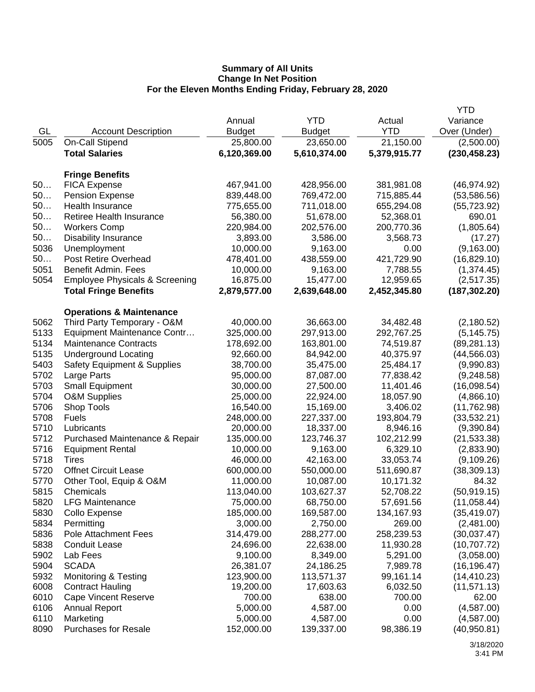|      |                                           |               |               |              | <b>YTD</b>    |
|------|-------------------------------------------|---------------|---------------|--------------|---------------|
|      |                                           | Annual        | <b>YTD</b>    | Actual       | Variance      |
| GL   | <b>Account Description</b>                | <b>Budget</b> | <b>Budget</b> | <b>YTD</b>   | Over (Under)  |
| 5005 | On-Call Stipend                           | 25,800.00     | 23,650.00     | 21,150.00    | (2,500.00)    |
|      | <b>Total Salaries</b>                     | 6,120,369.00  | 5,610,374.00  | 5,379,915.77 | (230, 458.23) |
|      |                                           |               |               |              |               |
|      | <b>Fringe Benefits</b>                    |               |               |              |               |
| 50   | <b>FICA Expense</b>                       | 467,941.00    | 428,956.00    | 381,981.08   | (46, 974.92)  |
| 50   | <b>Pension Expense</b>                    | 839,448.00    | 769,472.00    | 715,885.44   | (53, 586.56)  |
| 50   | Health Insurance                          | 775,655.00    | 711,018.00    | 655,294.08   | (55, 723.92)  |
| 50   | Retiree Health Insurance                  | 56,380.00     | 51,678.00     | 52,368.01    | 690.01        |
| 50   | <b>Workers Comp</b>                       | 220,984.00    | 202,576.00    | 200,770.36   | (1,805.64)    |
| 50   | <b>Disability Insurance</b>               | 3,893.00      | 3,586.00      | 3,568.73     | (17.27)       |
| 5036 | Unemployment                              | 10,000.00     | 9,163.00      | 0.00         | (9, 163.00)   |
| 50   | <b>Post Retire Overhead</b>               | 478,401.00    | 438,559.00    | 421,729.90   | (16, 829.10)  |
| 5051 | Benefit Admin. Fees                       | 10,000.00     | 9,163.00      | 7,788.55     | (1,374.45)    |
| 5054 | <b>Employee Physicals &amp; Screening</b> | 16,875.00     | 15,477.00     | 12,959.65    | (2,517.35)    |
|      | <b>Total Fringe Benefits</b>              | 2,879,577.00  | 2,639,648.00  | 2,452,345.80 | (187, 302.20) |
|      |                                           |               |               |              |               |
|      | <b>Operations &amp; Maintenance</b>       |               |               |              |               |
| 5062 | Third Party Temporary - O&M               | 40,000.00     | 36,663.00     | 34,482.48    | (2,180.52)    |
| 5133 | Equipment Maintenance Contr               | 325,000.00    | 297,913.00    | 292,767.25   | (5, 145.75)   |
| 5134 | <b>Maintenance Contracts</b>              | 178,692.00    | 163,801.00    | 74,519.87    | (89, 281.13)  |
| 5135 | <b>Underground Locating</b>               | 92,660.00     | 84,942.00     | 40,375.97    | (44, 566.03)  |
| 5403 | <b>Safety Equipment &amp; Supplies</b>    | 38,700.00     | 35,475.00     | 25,484.17    | (9,990.83)    |
| 5702 | Large Parts                               | 95,000.00     | 87,087.00     | 77,838.42    | (9,248.58)    |
| 5703 | <b>Small Equipment</b>                    | 30,000.00     | 27,500.00     | 11,401.46    | (16,098.54)   |
| 5704 | <b>O&amp;M Supplies</b>                   | 25,000.00     | 22,924.00     | 18,057.90    | (4,866.10)    |
| 5706 | Shop Tools                                | 16,540.00     | 15,169.00     | 3,406.02     | (11,762.98)   |
| 5708 | <b>Fuels</b>                              | 248,000.00    | 227,337.00    | 193,804.79   | (33,532.21)   |
| 5710 | Lubricants                                | 20,000.00     | 18,337.00     | 8,946.16     | (9,390.84)    |
| 5712 | Purchased Maintenance & Repair            | 135,000.00    | 123,746.37    | 102,212.99   | (21, 533.38)  |
| 5716 | <b>Equipment Rental</b>                   | 10,000.00     | 9,163.00      | 6,329.10     | (2,833.90)    |
| 5718 | Tires                                     | 46,000.00     | 42,163.00     | 33,053.74    | (9,109.26)    |
| 5720 | <b>Offnet Circuit Lease</b>               | 600,000.00    | 550,000.00    | 511,690.87   | (38, 309.13)  |
| 5770 | Other Tool, Equip & O&M                   | 11,000.00     | 10,087.00     | 10,171.32    | 84.32         |
| 5815 | Chemicals                                 | 113,040.00    | 103,627.37    | 52,708.22    | (50, 919.15)  |
| 5820 | <b>LFG Maintenance</b>                    | 75,000.00     | 68,750.00     | 57,691.56    | (11,058.44)   |
| 5830 | Collo Expense                             | 185,000.00    | 169,587.00    | 134,167.93   | (35, 419.07)  |
| 5834 | Permitting                                | 3,000.00      | 2,750.00      | 269.00       | (2,481.00)    |
| 5836 | <b>Pole Attachment Fees</b>               | 314,479.00    | 288,277.00    | 258,239.53   | (30,037.47)   |
| 5838 | <b>Conduit Lease</b>                      | 24,696.00     | 22,638.00     | 11,930.28    | (10, 707.72)  |
| 5902 | Lab Fees                                  | 9,100.00      | 8,349.00      | 5,291.00     | (3,058.00)    |
| 5904 | <b>SCADA</b>                              | 26,381.07     | 24,186.25     | 7,989.78     | (16, 196.47)  |
| 5932 | Monitoring & Testing                      | 123,900.00    | 113,571.37    | 99,161.14    | (14, 410.23)  |
| 6008 | <b>Contract Hauling</b>                   | 19,200.00     | 17,603.63     | 6,032.50     | (11, 571.13)  |
| 6010 | <b>Cape Vincent Reserve</b>               | 700.00        | 638.00        | 700.00       | 62.00         |
| 6106 | <b>Annual Report</b>                      | 5,000.00      | 4,587.00      | 0.00         | (4,587.00)    |
| 6110 | Marketing                                 | 5,000.00      | 4,587.00      | 0.00         | (4,587.00)    |
| 8090 | <b>Purchases for Resale</b>               | 152,000.00    | 139,337.00    | 98,386.19    | (40,950.81)   |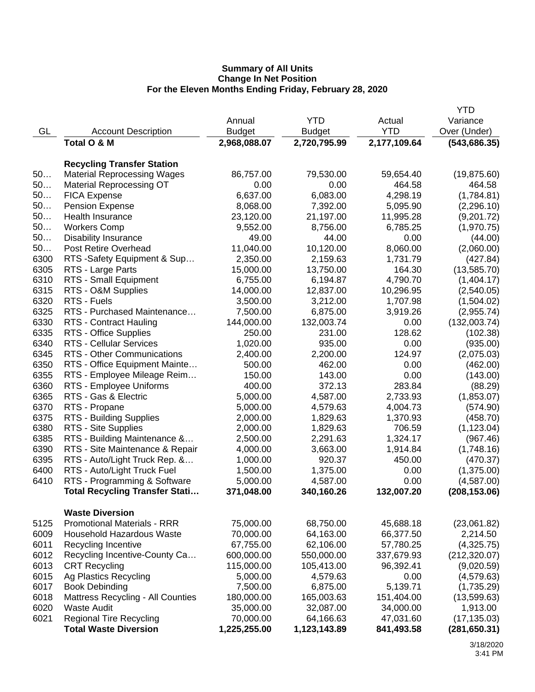|      |                                          |               |               |              | <b>YTD</b>    |
|------|------------------------------------------|---------------|---------------|--------------|---------------|
|      |                                          | Annual        | <b>YTD</b>    | Actual       | Variance      |
| GL   | <b>Account Description</b>               | <b>Budget</b> | <b>Budget</b> | <b>YTD</b>   | Over (Under)  |
|      | Total O & M                              | 2,968,088.07  | 2,720,795.99  | 2,177,109.64 | (543, 686.35) |
|      |                                          |               |               |              |               |
|      | <b>Recycling Transfer Station</b>        |               |               |              |               |
| 50   | <b>Material Reprocessing Wages</b>       | 86,757.00     | 79,530.00     | 59,654.40    | (19, 875.60)  |
| 50   | <b>Material Reprocessing OT</b>          | 0.00          | 0.00          | 464.58       | 464.58        |
| 50   | <b>FICA Expense</b>                      | 6,637.00      | 6,083.00      | 4,298.19     | (1,784.81)    |
| 50   | <b>Pension Expense</b>                   | 8,068.00      | 7,392.00      | 5,095.90     | (2, 296.10)   |
| 50   | Health Insurance                         | 23,120.00     | 21,197.00     | 11,995.28    | (9,201.72)    |
| 50   | <b>Workers Comp</b>                      | 9,552.00      | 8,756.00      | 6,785.25     | (1,970.75)    |
| 50   | <b>Disability Insurance</b>              | 49.00         | 44.00         | 0.00         | (44.00)       |
| 50   | Post Retire Overhead                     | 11,040.00     | 10,120.00     | 8,060.00     | (2,060.00)    |
| 6300 | RTS - Safety Equipment & Sup             | 2,350.00      | 2,159.63      | 1,731.79     | (427.84)      |
| 6305 | RTS - Large Parts                        | 15,000.00     | 13,750.00     | 164.30       | (13,585.70)   |
| 6310 | RTS - Small Equipment                    | 6,755.00      | 6,194.87      | 4,790.70     | (1,404.17)    |
| 6315 | RTS - O&M Supplies                       | 14,000.00     | 12,837.00     | 10,296.95    | (2,540.05)    |
| 6320 | RTS - Fuels                              | 3,500.00      | 3,212.00      | 1,707.98     | (1,504.02)    |
| 6325 | RTS - Purchased Maintenance              | 7,500.00      | 6,875.00      | 3,919.26     | (2,955.74)    |
| 6330 | RTS - Contract Hauling                   | 144,000.00    | 132,003.74    | 0.00         | (132,003.74)  |
| 6335 | RTS - Office Supplies                    | 250.00        | 231.00        | 128.62       | (102.38)      |
| 6340 | <b>RTS - Cellular Services</b>           | 1,020.00      | 935.00        | 0.00         | (935.00)      |
| 6345 | RTS - Other Communications               | 2,400.00      | 2,200.00      | 124.97       | (2,075.03)    |
| 6350 | RTS - Office Equipment Mainte            | 500.00        | 462.00        | 0.00         | (462.00)      |
| 6355 | RTS - Employee Mileage Reim              | 150.00        | 143.00        | 0.00         | (143.00)      |
| 6360 | RTS - Employee Uniforms                  | 400.00        | 372.13        | 283.84       | (88.29)       |
| 6365 | RTS - Gas & Electric                     | 5,000.00      | 4,587.00      | 2,733.93     | (1,853.07)    |
| 6370 | RTS - Propane                            | 5,000.00      | 4,579.63      | 4,004.73     | (574.90)      |
| 6375 | RTS - Building Supplies                  | 2,000.00      | 1,829.63      | 1,370.93     | (458.70)      |
| 6380 | RTS - Site Supplies                      | 2,000.00      | 1,829.63      | 706.59       | (1, 123.04)   |
| 6385 | RTS - Building Maintenance &             | 2,500.00      | 2,291.63      | 1,324.17     | (967.46)      |
| 6390 | RTS - Site Maintenance & Repair          | 4,000.00      | 3,663.00      | 1,914.84     | (1,748.16)    |
| 6395 | RTS - Auto/Light Truck Rep. &            | 1,000.00      | 920.37        | 450.00       | (470.37)      |
| 6400 | RTS - Auto/Light Truck Fuel              | 1,500.00      | 1,375.00      | 0.00         | (1,375.00)    |
| 6410 | RTS - Programming & Software             | 5,000.00      | 4,587.00      | 0.00         | (4,587.00)    |
|      | <b>Total Recycling Transfer Stati</b>    | 371,048.00    | 340,160.26    | 132,007.20   | (208, 153.06) |
|      |                                          |               |               |              |               |
|      | <b>Waste Diversion</b>                   |               |               |              |               |
| 5125 | <b>Promotional Materials - RRR</b>       | 75,000.00     | 68,750.00     | 45,688.18    | (23,061.82)   |
| 6009 | <b>Household Hazardous Waste</b>         | 70,000.00     | 64,163.00     | 66,377.50    | 2,214.50      |
| 6011 | <b>Recycling Incentive</b>               | 67,755.00     | 62,106.00     | 57,780.25    | (4,325.75)    |
| 6012 | Recycling Incentive-County Ca            | 600,000.00    | 550,000.00    | 337,679.93   | (212, 320.07) |
| 6013 | <b>CRT Recycling</b>                     | 115,000.00    | 105,413.00    | 96,392.41    | (9,020.59)    |
| 6015 | Ag Plastics Recycling                    | 5,000.00      | 4,579.63      | 0.00         | (4,579.63)    |
| 6017 | <b>Book Debinding</b>                    | 7,500.00      | 6,875.00      | 5,139.71     | (1,735.29)    |
| 6018 | <b>Mattress Recycling - All Counties</b> | 180,000.00    | 165,003.63    | 151,404.00   | (13,599.63)   |
| 6020 | <b>Waste Audit</b>                       | 35,000.00     | 32,087.00     | 34,000.00    | 1,913.00      |
| 6021 | <b>Regional Tire Recycling</b>           | 70,000.00     | 64,166.63     | 47,031.60    | (17, 135.03)  |
|      | <b>Total Waste Diversion</b>             | 1,225,255.00  | 1,123,143.89  | 841,493.58   | (281, 650.31) |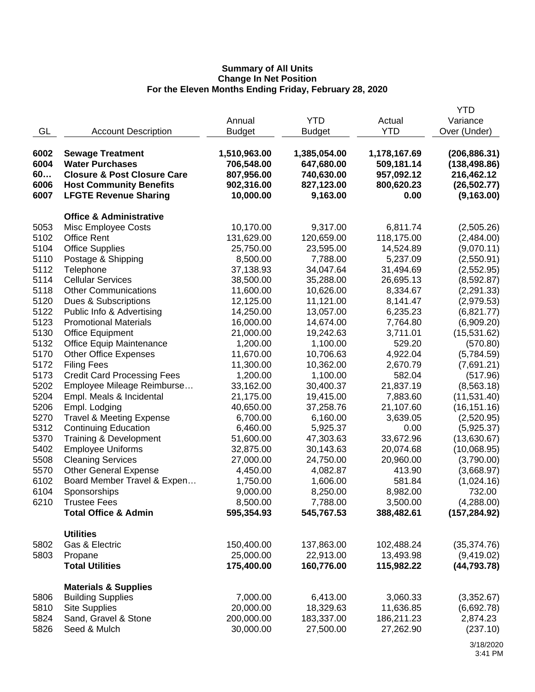|      |                                        |               |               |              | <b>YTD</b>    |
|------|----------------------------------------|---------------|---------------|--------------|---------------|
|      |                                        | Annual        | <b>YTD</b>    | Actual       | Variance      |
| GL   | <b>Account Description</b>             | <b>Budget</b> | <b>Budget</b> | <b>YTD</b>   | Over (Under)  |
| 6002 | <b>Sewage Treatment</b>                | 1,510,963.00  | 1,385,054.00  | 1,178,167.69 | (206, 886.31) |
| 6004 | <b>Water Purchases</b>                 | 706,548.00    | 647,680.00    | 509,181.14   | (138, 498.86) |
| 60   | <b>Closure &amp; Post Closure Care</b> | 807,956.00    | 740,630.00    | 957,092.12   | 216,462.12    |
| 6006 | <b>Host Community Benefits</b>         | 902,316.00    | 827,123.00    | 800,620.23   | (26, 502.77)  |
| 6007 | <b>LFGTE Revenue Sharing</b>           | 10,000.00     | 9,163.00      | 0.00         | (9, 163.00)   |
|      | <b>Office &amp; Administrative</b>     |               |               |              |               |
| 5053 | Misc Employee Costs                    | 10,170.00     | 9,317.00      | 6,811.74     | (2,505.26)    |
| 5102 | <b>Office Rent</b>                     | 131,629.00    | 120,659.00    | 118,175.00   | (2,484.00)    |
| 5104 | <b>Office Supplies</b>                 | 25,750.00     | 23,595.00     | 14,524.89    | (9,070.11)    |
| 5110 | Postage & Shipping                     | 8,500.00      | 7,788.00      | 5,237.09     | (2,550.91)    |
| 5112 |                                        | 37,138.93     | 34,047.64     | 31,494.69    |               |
| 5114 | Telephone<br><b>Cellular Services</b>  |               |               |              | (2,552.95)    |
| 5118 | <b>Other Communications</b>            | 38,500.00     | 35,288.00     | 26,695.13    | (8,592.87)    |
|      |                                        | 11,600.00     | 10,626.00     | 8,334.67     | (2, 291.33)   |
| 5120 | Dues & Subscriptions                   | 12,125.00     | 11,121.00     | 8,141.47     | (2,979.53)    |
| 5122 | Public Info & Advertising              | 14,250.00     | 13,057.00     | 6,235.23     | (6,821.77)    |
| 5123 | <b>Promotional Materials</b>           | 16,000.00     | 14,674.00     | 7,764.80     | (6,909.20)    |
| 5130 | <b>Office Equipment</b>                | 21,000.00     | 19,242.63     | 3,711.01     | (15,531.62)   |
| 5132 | <b>Office Equip Maintenance</b>        | 1,200.00      | 1,100.00      | 529.20       | (570.80)      |
| 5170 | <b>Other Office Expenses</b>           | 11,670.00     | 10,706.63     | 4,922.04     | (5,784.59)    |
| 5172 | <b>Filing Fees</b>                     | 11,300.00     | 10,362.00     | 2,670.79     | (7,691.21)    |
| 5173 | <b>Credit Card Processing Fees</b>     | 1,200.00      | 1,100.00      | 582.04       | (517.96)      |
| 5202 | Employee Mileage Reimburse             | 33,162.00     | 30,400.37     | 21,837.19    | (8,563.18)    |
| 5204 | Empl. Meals & Incidental               | 21,175.00     | 19,415.00     | 7,883.60     | (11,531.40)   |
| 5206 | Empl. Lodging                          | 40,650.00     | 37,258.76     | 21,107.60    | (16, 151.16)  |
| 5270 | <b>Travel &amp; Meeting Expense</b>    | 6,700.00      | 6,160.00      | 3,639.05     | (2,520.95)    |
| 5312 | <b>Continuing Education</b>            | 6,460.00      | 5,925.37      | 0.00         | (5,925.37)    |
| 5370 | Training & Development                 | 51,600.00     | 47,303.63     | 33,672.96    | (13,630.67)   |
| 5402 | <b>Employee Uniforms</b>               | 32,875.00     | 30,143.63     | 20,074.68    | (10,068.95)   |
| 5508 | <b>Cleaning Services</b>               | 27,000.00     | 24,750.00     | 20,960.00    | (3,790.00)    |
| 5570 | <b>Other General Expense</b>           | 4,450.00      | 4,082.87      | 413.90       | (3,668.97)    |
| 6102 | Board Member Travel & Expen            | 1,750.00      | 1,606.00      | 581.84       | (1,024.16)    |
| 6104 | Sponsorships                           | 9,000.00      | 8,250.00      | 8,982.00     | 732.00        |
| 6210 | <b>Trustee Fees</b>                    | 8,500.00      | 7,788.00      | 3,500.00     | (4,288.00)    |
|      | <b>Total Office &amp; Admin</b>        | 595,354.93    | 545,767.53    | 388,482.61   | (157, 284.92) |
|      | <b>Utilities</b>                       |               |               |              |               |
| 5802 | Gas & Electric                         | 150,400.00    | 137,863.00    | 102,488.24   | (35, 374.76)  |
| 5803 | Propane                                | 25,000.00     | 22,913.00     | 13,493.98    | (9,419.02)    |
|      | <b>Total Utilities</b>                 | 175,400.00    | 160,776.00    | 115,982.22   | (44, 793.78)  |
|      | <b>Materials &amp; Supplies</b>        |               |               |              |               |
| 5806 | <b>Building Supplies</b>               | 7,000.00      | 6,413.00      | 3,060.33     | (3,352.67)    |
| 5810 | <b>Site Supplies</b>                   | 20,000.00     | 18,329.63     | 11,636.85    | (6,692.78)    |
| 5824 | Sand, Gravel & Stone                   | 200,000.00    | 183,337.00    | 186,211.23   | 2,874.23      |
| 5826 | Seed & Mulch                           | 30,000.00     | 27,500.00     | 27,262.90    | (237.10)      |
|      |                                        |               |               |              |               |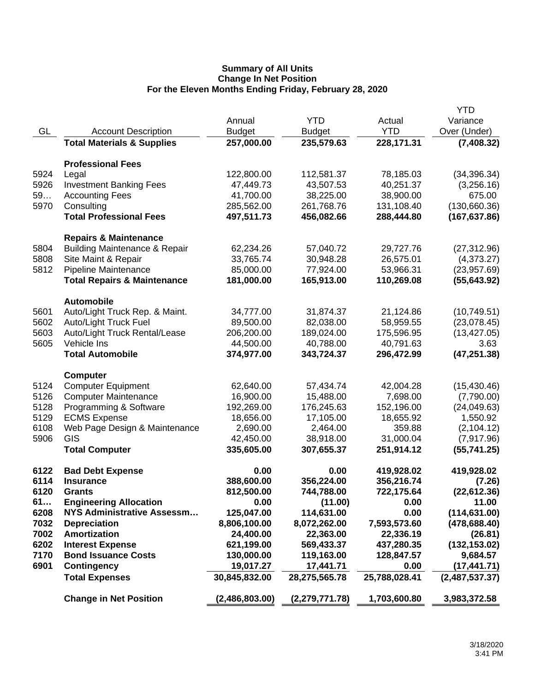|              |                                                | Annual                  | <b>YTD</b>              | Actual                  | <b>YTD</b><br>Variance   |
|--------------|------------------------------------------------|-------------------------|-------------------------|-------------------------|--------------------------|
| GL           | <b>Account Description</b>                     | <b>Budget</b>           | <b>Budget</b>           | <b>YTD</b>              | Over (Under)             |
|              | <b>Total Materials &amp; Supplies</b>          | 257,000.00              | 235,579.63              | 228,171.31              | (7,408.32)               |
|              | <b>Professional Fees</b>                       |                         |                         |                         |                          |
| 5924         | Legal                                          | 122,800.00              | 112,581.37              | 78,185.03               | (34, 396.34)             |
| 5926         | <b>Investment Banking Fees</b>                 | 47,449.73               | 43,507.53               | 40,251.37               | (3,256.16)               |
| 59           | <b>Accounting Fees</b>                         | 41,700.00               | 38,225.00               | 38,900.00               | 675.00                   |
| 5970         | Consulting                                     | 285,562.00              | 261,768.76              | 131,108.40              | (130,660.36)             |
|              | <b>Total Professional Fees</b>                 | 497,511.73              | 456,082.66              | 288,444.80              | (167, 637.86)            |
|              |                                                |                         |                         |                         |                          |
|              | <b>Repairs &amp; Maintenance</b>               |                         |                         |                         |                          |
| 5804         | <b>Building Maintenance &amp; Repair</b>       | 62,234.26               | 57,040.72               | 29,727.76               | (27, 312.96)             |
| 5808         | Site Maint & Repair                            | 33,765.74               | 30,948.28               | 26,575.01               | (4,373.27)               |
| 5812         | Pipeline Maintenance                           | 85,000.00               | 77,924.00               | 53,966.31               | (23,957.69)              |
|              | <b>Total Repairs &amp; Maintenance</b>         | 181,000.00              | 165,913.00              | 110,269.08              | (55, 643.92)             |
|              | <b>Automobile</b>                              |                         |                         |                         |                          |
| 5601         | Auto/Light Truck Rep. & Maint.                 | 34,777.00               | 31,874.37               | 21,124.86               | (10,749.51)              |
| 5602         | Auto/Light Truck Fuel                          | 89,500.00               | 82,038.00               | 58,959.55               | (23,078.45)              |
| 5603         | Auto/Light Truck Rental/Lease                  | 206,200.00              | 189,024.00              | 175,596.95              | (13, 427.05)             |
| 5605         | Vehicle Ins                                    | 44,500.00               | 40,788.00               | 40,791.63               | 3.63                     |
|              | <b>Total Automobile</b>                        | 374,977.00              | 343,724.37              | 296,472.99              | (47, 251.38)             |
|              |                                                |                         |                         |                         |                          |
| 5124         | <b>Computer</b><br><b>Computer Equipment</b>   | 62,640.00               | 57,434.74               | 42,004.28               | (15, 430.46)             |
| 5126         | <b>Computer Maintenance</b>                    | 16,900.00               | 15,488.00               | 7,698.00                | (7,790.00)               |
| 5128         | Programming & Software                         | 192,269.00              | 176,245.63              | 152,196.00              | (24,049.63)              |
| 5129         | <b>ECMS Expense</b>                            | 18,656.00               | 17,105.00               | 18,655.92               | 1,550.92                 |
| 6108         | Web Page Design & Maintenance                  | 2,690.00                | 2,464.00                | 359.88                  | (2, 104.12)              |
| 5906         | GIS                                            | 42,450.00               | 38,918.00               | 31,000.04               | (7,917.96)               |
|              | <b>Total Computer</b>                          | 335,605.00              | 307,655.37              | 251,914.12              | (55, 741.25)             |
|              |                                                |                         |                         |                         |                          |
| 6122         | <b>Bad Debt Expense</b>                        | 0.00                    | 0.00                    | 419,928.02              | 419,928.02               |
| 6114         | <b>Insurance</b>                               | 388,600.00              | 356,224.00              | 356,216.74              | (7.26)                   |
| 6120         | <b>Grants</b>                                  | 812,500.00              | 744,788.00              | 722,175.64              | (22, 612.36)             |
| 61           | <b>Engineering Allocation</b>                  | 0.00                    | (11.00)                 | 0.00                    | 11.00                    |
| 6208         | <b>NYS Administrative Assessm</b>              | 125,047.00              | 114,631.00              | 0.00                    | (114, 631.00)            |
| 7032         | <b>Depreciation</b>                            | 8,806,100.00            | 8,072,262.00            | 7,593,573.60            | (478, 688.40)            |
| 7002<br>6202 | <b>Amortization</b><br><b>Interest Expense</b> | 24,400.00<br>621,199.00 | 22,363.00<br>569,433.37 | 22,336.19<br>437,280.35 | (26.81)<br>(132, 153.02) |
| 7170         | <b>Bond Issuance Costs</b>                     | 130,000.00              | 119,163.00              | 128,847.57              | 9,684.57                 |
| 6901         | <b>Contingency</b>                             | 19,017.27               | 17,441.71               | 0.00                    | (17, 441.71)             |
|              | <b>Total Expenses</b>                          | 30,845,832.00           | 28,275,565.78           | 25,788,028.41           | (2,487,537.37)           |
|              |                                                |                         |                         |                         |                          |
|              | <b>Change in Net Position</b>                  | (2,486,803.00)          | (2,279,771.78)          | 1,703,600.80            | 3,983,372.58             |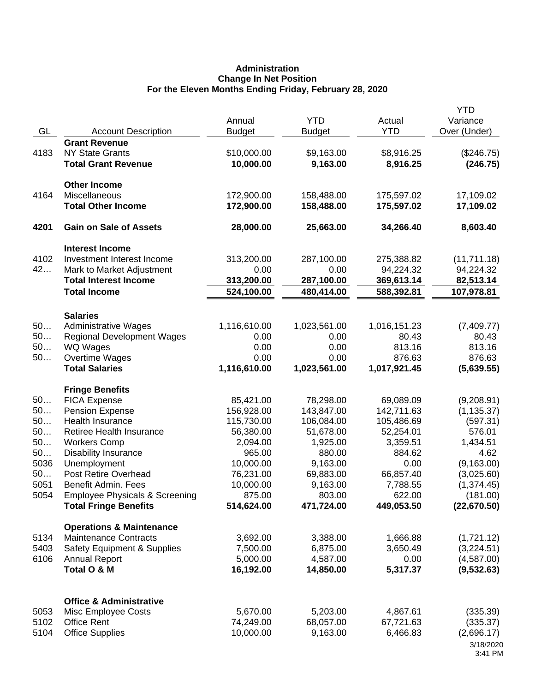# **Administration Change In Net Position For the Eleven Months Ending Friday, February 28, 2020**

| GL           | <b>Account Description</b>             | Annual<br><b>Budget</b> | <b>YTD</b><br><b>Budget</b> | Actual<br><b>YTD</b>  | <b>YTD</b><br>Variance<br>Over (Under) |
|--------------|----------------------------------------|-------------------------|-----------------------------|-----------------------|----------------------------------------|
|              | <b>Grant Revenue</b>                   |                         |                             |                       |                                        |
| 4183         | <b>NY State Grants</b>                 | \$10,000.00             | \$9,163.00                  | \$8,916.25            | (\$246.75)                             |
|              | <b>Total Grant Revenue</b>             | 10,000.00               | 9,163.00                    | 8,916.25              | (246.75)                               |
|              | <b>Other Income</b>                    |                         |                             |                       |                                        |
| 4164         | Miscellaneous                          | 172,900.00              | 158,488.00                  | 175,597.02            | 17,109.02                              |
|              | <b>Total Other Income</b>              | 172,900.00              | 158,488.00                  | 175,597.02            | 17,109.02                              |
| 4201         | <b>Gain on Sale of Assets</b>          | 28,000.00               | 25,663.00                   | 34,266.40             | 8,603.40                               |
|              | <b>Interest Income</b>                 |                         |                             |                       |                                        |
| 4102         | Investment Interest Income             | 313,200.00              | 287,100.00                  | 275,388.82            | (11, 711.18)                           |
| 42           | Mark to Market Adjustment              | 0.00                    | 0.00                        | 94,224.32             | 94,224.32                              |
|              | <b>Total Interest Income</b>           | 313,200.00              | 287,100.00                  | 369,613.14            | 82,513.14                              |
|              | <b>Total Income</b>                    | 524,100.00              | 480,414.00                  | 588,392.81            | 107,978.81                             |
|              | <b>Salaries</b>                        |                         |                             |                       |                                        |
| 50           | <b>Administrative Wages</b>            | 1,116,610.00            | 1,023,561.00                | 1,016,151.23          | (7,409.77)                             |
| 50           | <b>Regional Development Wages</b>      | 0.00                    | 0.00                        | 80.43                 | 80.43                                  |
| 50           | WQ Wages                               | 0.00                    | 0.00                        | 813.16                | 813.16                                 |
| 50           | Overtime Wages                         | 0.00                    | 0.00                        | 876.63                | 876.63                                 |
|              | <b>Total Salaries</b>                  | 1,116,610.00            | 1,023,561.00                | 1,017,921.45          | (5,639.55)                             |
|              | <b>Fringe Benefits</b>                 |                         |                             |                       |                                        |
| 50           | <b>FICA Expense</b>                    | 85,421.00               | 78,298.00                   | 69,089.09             | (9,208.91)                             |
| 50           | <b>Pension Expense</b>                 | 156,928.00              | 143,847.00                  | 142,711.63            | (1, 135.37)                            |
| 50           | Health Insurance                       | 115,730.00              | 106,084.00                  | 105,486.69            | (597.31)                               |
| 50           | <b>Retiree Health Insurance</b>        | 56,380.00               | 51,678.00                   | 52,254.01             | 576.01                                 |
| 50           | <b>Workers Comp</b>                    | 2,094.00                | 1,925.00                    | 3,359.51              | 1,434.51                               |
| 50           | <b>Disability Insurance</b>            | 965.00                  | 880.00                      | 884.62                | 4.62                                   |
| 5036         | Unemployment                           | 10,000.00               | 9,163.00                    | 0.00                  | (9, 163.00)                            |
| 50           | Post Retire Overhead                   | 76,231.00               | 69,883.00                   | 66,857.40             | (3,025.60)                             |
| 5051         | Benefit Admin. Fees                    | 10,000.00               | 9,163.00                    | 7,788.55              | (1, 374.45)                            |
| 5054         | Employee Physicals & Screening         | 875.00                  | 803.00                      | 622.00                | (181.00)                               |
|              | <b>Total Fringe Benefits</b>           | 514,624.00              | 471,724.00                  | 449,053.50            | (22,670.50)                            |
|              | <b>Operations &amp; Maintenance</b>    |                         |                             |                       |                                        |
| 5134         | <b>Maintenance Contracts</b>           | 3,692.00                | 3,388.00                    | 1,666.88              | (1,721.12)                             |
| 5403         | <b>Safety Equipment &amp; Supplies</b> | 7,500.00                | 6,875.00                    | 3,650.49              | (3,224.51)                             |
| 6106         | <b>Annual Report</b>                   | 5,000.00                | 4,587.00                    | 0.00                  | (4,587.00)                             |
|              | Total O & M                            | 16,192.00               | 14,850.00                   | 5,317.37              | (9,532.63)                             |
|              |                                        |                         |                             |                       |                                        |
|              | <b>Office &amp; Administrative</b>     |                         |                             |                       |                                        |
| 5053         | Misc Employee Costs                    | 5,670.00                | 5,203.00                    | 4,867.61              | (335.39)                               |
| 5102<br>5104 | <b>Office Rent</b>                     | 74,249.00<br>10,000.00  | 68,057.00<br>9,163.00       | 67,721.63<br>6,466.83 | (335.37)                               |
|              | <b>Office Supplies</b>                 |                         |                             |                       | (2,696.17)                             |
|              |                                        |                         |                             |                       | 3/18/2020<br>3:41 PM                   |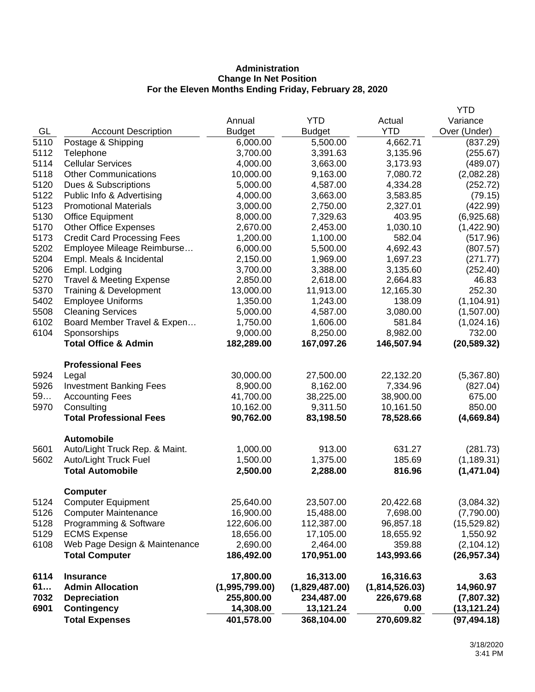# **Administration Change In Net Position For the Eleven Months Ending Friday, February 28, 2020**

| 5110<br>5112 | Postage & Shipping<br>Telephone                         | 6,000.00<br>3,700.00 | 5,500.00<br>3,391.63 | 4,662.71<br>3,135.96 | (837.29)<br>(255.67)    |
|--------------|---------------------------------------------------------|----------------------|----------------------|----------------------|-------------------------|
| 5114         | <b>Cellular Services</b>                                | 4,000.00             | 3,663.00             | 3,173.93             | (489.07)                |
| 5118         | <b>Other Communications</b>                             | 10,000.00            | 9,163.00             | 7,080.72             | (2,082.28)              |
| 5120         | Dues & Subscriptions                                    | 5,000.00             | 4,587.00             | 4,334.28             | (252.72)                |
| 5122         | Public Info & Advertising                               | 4,000.00             | 3,663.00             | 3,583.85             | (79.15)                 |
| 5123         | <b>Promotional Materials</b>                            | 3,000.00             | 2,750.00             | 2,327.01             | (422.99)                |
| 5130         | <b>Office Equipment</b>                                 | 8,000.00             | 7,329.63             | 403.95               | (6,925.68)              |
| 5170         | <b>Other Office Expenses</b>                            | 2,670.00             | 2,453.00             | 1,030.10             | (1,422.90)              |
| 5173         | <b>Credit Card Processing Fees</b>                      | 1,200.00             | 1,100.00             | 582.04               | (517.96)                |
| 5202         | Employee Mileage Reimburse                              | 6,000.00             | 5,500.00             | 4,692.43             | (807.57)                |
| 5204<br>5206 | Empl. Meals & Incidental<br>Empl. Lodging               | 2,150.00<br>3,700.00 | 1,969.00<br>3,388.00 | 1,697.23<br>3,135.60 | (271.77)<br>(252.40)    |
| 5270         | <b>Travel &amp; Meeting Expense</b>                     | 2,850.00             | 2,618.00             | 2,664.83             | 46.83                   |
| 5370         | Training & Development                                  | 13,000.00            | 11,913.00            | 12,165.30            | 252.30                  |
| 5402         | <b>Employee Uniforms</b>                                | 1,350.00             | 1,243.00             | 138.09               | (1, 104.91)             |
| 5508         | <b>Cleaning Services</b>                                | 5,000.00             | 4,587.00             | 3,080.00             | (1,507.00)              |
| 6102         | Board Member Travel & Expen                             | 1,750.00             | 1,606.00             | 581.84               | (1,024.16)              |
| 6104         | Sponsorships                                            | 9,000.00             | 8,250.00             | 8,982.00             | 732.00                  |
|              | <b>Total Office &amp; Admin</b>                         | 182,289.00           | 167,097.26           | 146,507.94           | (20, 589.32)            |
|              | <b>Professional Fees</b>                                |                      |                      |                      |                         |
| 5924         | Legal                                                   | 30,000.00            | 27,500.00            | 22,132.20            | (5,367.80)              |
| 5926         | <b>Investment Banking Fees</b>                          | 8,900.00             | 8,162.00             | 7,334.96             | (827.04)                |
| 59           | <b>Accounting Fees</b>                                  | 41,700.00            | 38,225.00            | 38,900.00            | 675.00                  |
| 5970         | Consulting                                              | 10,162.00            | 9,311.50             | 10,161.50            | 850.00                  |
|              | <b>Total Professional Fees</b>                          | 90,762.00            | 83,198.50            | 78,528.66            | (4,669.84)              |
|              | <b>Automobile</b>                                       | 1,000.00             |                      |                      |                         |
| 5601<br>5602 | Auto/Light Truck Rep. & Maint.<br>Auto/Light Truck Fuel | 1,500.00             | 913.00<br>1,375.00   | 631.27<br>185.69     | (281.73)<br>(1, 189.31) |
|              | <b>Total Automobile</b>                                 | 2,500.00             | 2,288.00             | 816.96               | (1,471.04)              |
|              |                                                         |                      |                      |                      |                         |
| 5124         | <b>Computer</b><br><b>Computer Equipment</b>            | 25,640.00            | 23,507.00            | 20,422.68            | (3,084.32)              |
| 5126         | <b>Computer Maintenance</b>                             | 16,900.00            | 15,488.00            | 7,698.00             | (7,790.00)              |
| 5128         | Programming & Software                                  | 122,606.00           | 112,387.00           | 96,857.18            | (15,529.82)             |
| 5129         | <b>ECMS Expense</b>                                     | 18,656.00            | 17,105.00            | 18,655.92            | 1,550.92                |
| 6108         | Web Page Design & Maintenance                           | 2,690.00             | 2,464.00             | 359.88               | (2, 104.12)             |
|              | <b>Total Computer</b>                                   | 186,492.00           | 170,951.00           | 143,993.66           | (26, 957.34)            |
| 6114         | <b>Insurance</b>                                        | 17,800.00            | 16,313.00            | 16,316.63            | 3.63                    |
| 61           | <b>Admin Allocation</b>                                 | (1,995,799.00)       | (1,829,487.00)       | (1,814,526.03)       | 14,960.97               |
| 7032         | <b>Depreciation</b>                                     | 255,800.00           | 234,487.00           | 226,679.68           | (7,807.32)              |
| 6901         | <b>Contingency</b>                                      | 14,308.00            | 13,121.24            | 0.00                 | (13,121.24)             |
|              | <b>Total Expenses</b>                                   | 401,578.00           | 368,104.00           | 270,609.82           | (97, 494.18)            |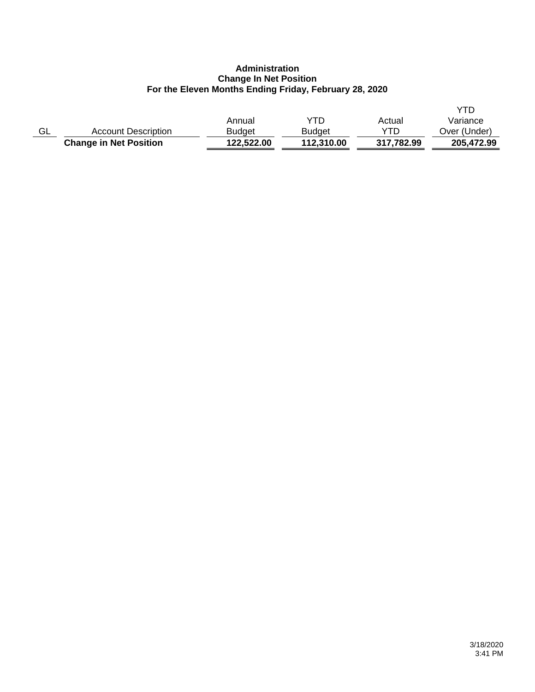## **Administration Change In Net Position For the Eleven Months Ending Friday, February 28, 2020**

|    | <b>Change in Net Position</b> | 122,522.00 | 112,310.00    | 317,782.99 | 205.472.99   |
|----|-------------------------------|------------|---------------|------------|--------------|
| GL | <b>Account Description</b>    | Budaet     | <b>Budget</b> | YTD        | Over (Under) |
|    |                               | Annual     | YTD           | Actual     | Variance     |
|    |                               |            |               |            |              |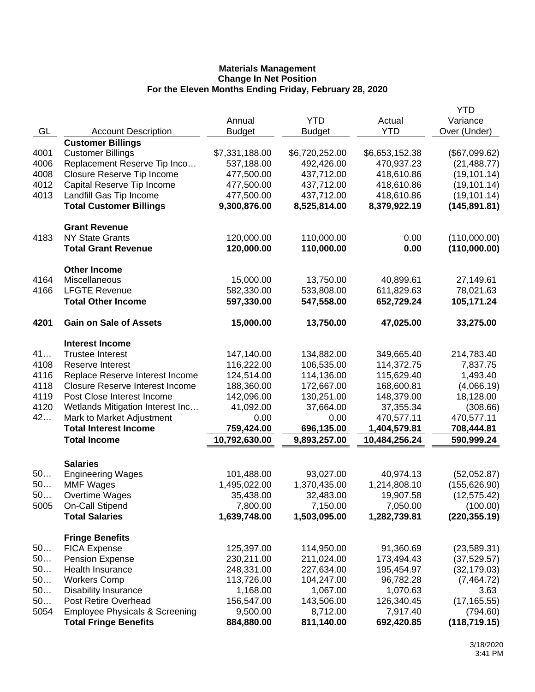| Actual<br><b>YTD</b><br>GL<br>Over (Under)<br><b>Account Description</b><br><b>Budget</b><br><b>Budget</b><br><b>Customer Billings</b><br><b>Customer Billings</b><br>\$7,331,188.00<br>\$6,720,252.00<br>(\$67,099.62)<br>4001<br>\$6,653,152.38<br>4006<br>Replacement Reserve Tip Inco<br>537,188.00<br>492,426.00<br>470,937.23<br>(21, 488.77)<br>4008<br>Closure Reserve Tip Income<br>477,500.00<br>437,712.00<br>418,610.86<br>(19, 101.14)<br>4012<br>Capital Reserve Tip Income<br>477,500.00<br>437,712.00<br>418,610.86<br>(19, 101.14)<br>4013<br>Landfill Gas Tip Income<br>477,500.00<br>437,712.00<br>418,610.86<br>(19, 101.14)<br><b>Total Customer Billings</b><br>9,300,876.00<br>8,525,814.00<br>8,379,922.19<br>(145, 891.81)<br><b>Grant Revenue</b><br>4183<br><b>NY State Grants</b><br>120,000.00<br>110,000.00<br>0.00<br>(110,000.00)<br>120,000.00<br>110,000.00<br>(110,000.00)<br><b>Total Grant Revenue</b><br>0.00<br><b>Other Income</b><br>Miscellaneous<br>15,000.00<br>4164<br>13,750.00<br>40,899.61<br>27,149.61<br>4166<br><b>LFGTE Revenue</b><br>582,330.00<br>533,808.00<br>611,829.63<br>78,021.63<br><b>Total Other Income</b><br>597,330.00<br>652,729.24<br>105,171.24<br>547,558.00<br>4201<br><b>Gain on Sale of Assets</b><br>15,000.00<br>33,275.00<br>13,750.00<br>47,025.00<br><b>Interest Income</b><br>41<br><b>Trustee Interest</b><br>147,140.00<br>134,882.00<br>349,665.40<br>214,783.40<br>4108<br>116,222.00<br>106,535.00<br>114,372.75<br>Reserve Interest<br>7,837.75<br>4116<br>124,514.00<br>Replace Reserve Interest Income<br>114,136.00<br>115,629.40<br>1,493.40<br>4118<br><b>Closure Reserve Interest Income</b><br>188,360.00<br>172,667.00<br>168,600.81<br>(4,066.19)<br>4119<br>Post Close Interest Income<br>142,096.00<br>130,251.00<br>148,379.00<br>18,128.00<br>4120<br>Wetlands Mitigation Interest Inc<br>41,092.00<br>37,664.00<br>37,355.34<br>(308.66)<br>42<br>Mark to Market Adjustment<br>0.00<br>470,577.11<br>470,577.11<br>0.00<br><b>Total Interest Income</b><br>759,424.00<br>696,135.00<br>1,404,579.81<br>708,444.81<br>10,792,630.00<br>10,484,256.24<br>590,999.24<br><b>Total Income</b><br>9,893,257.00<br><b>Salaries</b><br>50<br>101,488.00<br>93,027.00<br><b>Engineering Wages</b><br>40,974.13<br>(52,052.87)<br>50<br><b>MMF Wages</b><br>1,495,022.00<br>1,370,435.00<br>1,214,808.10<br>(155, 626.90)<br>50<br>Overtime Wages<br>35,438.00<br>32,483.00<br>19,907.58<br>(12, 575.42)<br>On-Call Stipend<br>7,150.00<br>5005<br>7,800.00<br>7,050.00<br>(100.00)<br><b>Total Salaries</b><br>1,639,748.00<br>1,503,095.00<br>1,282,739.81<br>(220, 355.19)<br><b>Fringe Benefits</b><br>50<br><b>FICA Expense</b><br>125,397.00<br>114,950.00<br>91,360.69<br>(23,589.31)<br>50<br>230,211.00<br><b>Pension Expense</b><br>211,024.00<br>173,494.43<br>(37,529.57)<br>50<br>Health Insurance<br>248,331.00<br>227,634.00<br>195,454.97<br>(32, 179.03)<br>50<br><b>Workers Comp</b><br>113,726.00<br>104,247.00<br>96,782.28<br>(7,464.72)<br>50<br>1,168.00<br>1,070.63<br><b>Disability Insurance</b><br>1,067.00<br>3.63<br>50<br>Post Retire Overhead<br>156,547.00<br>143,506.00<br>126,340.45<br>(17, 165.55)<br>5054<br><b>Employee Physicals &amp; Screening</b><br>9,500.00<br>7,917.40<br>8,712.00<br>(794.60)<br>811,140.00<br><b>Total Fringe Benefits</b><br>884,880.00<br>692,420.85<br>(118, 719.15) |  |        |            | <b>YTD</b> |
|----------------------------------------------------------------------------------------------------------------------------------------------------------------------------------------------------------------------------------------------------------------------------------------------------------------------------------------------------------------------------------------------------------------------------------------------------------------------------------------------------------------------------------------------------------------------------------------------------------------------------------------------------------------------------------------------------------------------------------------------------------------------------------------------------------------------------------------------------------------------------------------------------------------------------------------------------------------------------------------------------------------------------------------------------------------------------------------------------------------------------------------------------------------------------------------------------------------------------------------------------------------------------------------------------------------------------------------------------------------------------------------------------------------------------------------------------------------------------------------------------------------------------------------------------------------------------------------------------------------------------------------------------------------------------------------------------------------------------------------------------------------------------------------------------------------------------------------------------------------------------------------------------------------------------------------------------------------------------------------------------------------------------------------------------------------------------------------------------------------------------------------------------------------------------------------------------------------------------------------------------------------------------------------------------------------------------------------------------------------------------------------------------------------------------------------------------------------------------------------------------------------------------------------------------------------------------------------------------------------------------------------------------------------------------------------------------------------------------------------------------------------------------------------------------------------------------------------------------------------------------------------------------------------------------------------------------------------------------------------------------------------------------------------------------------------------------------------------------------------------------------------------------------------------------------------------------------------------------------------------------------------------------------------------------------------------------------------------------------------------------------------------------------------------------------|--|--------|------------|------------|
|                                                                                                                                                                                                                                                                                                                                                                                                                                                                                                                                                                                                                                                                                                                                                                                                                                                                                                                                                                                                                                                                                                                                                                                                                                                                                                                                                                                                                                                                                                                                                                                                                                                                                                                                                                                                                                                                                                                                                                                                                                                                                                                                                                                                                                                                                                                                                                                                                                                                                                                                                                                                                                                                                                                                                                                                                                                                                                                                                                                                                                                                                                                                                                                                                                                                                                                                                                                                                                  |  | Annual | <b>YTD</b> | Variance   |
|                                                                                                                                                                                                                                                                                                                                                                                                                                                                                                                                                                                                                                                                                                                                                                                                                                                                                                                                                                                                                                                                                                                                                                                                                                                                                                                                                                                                                                                                                                                                                                                                                                                                                                                                                                                                                                                                                                                                                                                                                                                                                                                                                                                                                                                                                                                                                                                                                                                                                                                                                                                                                                                                                                                                                                                                                                                                                                                                                                                                                                                                                                                                                                                                                                                                                                                                                                                                                                  |  |        |            |            |
|                                                                                                                                                                                                                                                                                                                                                                                                                                                                                                                                                                                                                                                                                                                                                                                                                                                                                                                                                                                                                                                                                                                                                                                                                                                                                                                                                                                                                                                                                                                                                                                                                                                                                                                                                                                                                                                                                                                                                                                                                                                                                                                                                                                                                                                                                                                                                                                                                                                                                                                                                                                                                                                                                                                                                                                                                                                                                                                                                                                                                                                                                                                                                                                                                                                                                                                                                                                                                                  |  |        |            |            |
|                                                                                                                                                                                                                                                                                                                                                                                                                                                                                                                                                                                                                                                                                                                                                                                                                                                                                                                                                                                                                                                                                                                                                                                                                                                                                                                                                                                                                                                                                                                                                                                                                                                                                                                                                                                                                                                                                                                                                                                                                                                                                                                                                                                                                                                                                                                                                                                                                                                                                                                                                                                                                                                                                                                                                                                                                                                                                                                                                                                                                                                                                                                                                                                                                                                                                                                                                                                                                                  |  |        |            |            |
|                                                                                                                                                                                                                                                                                                                                                                                                                                                                                                                                                                                                                                                                                                                                                                                                                                                                                                                                                                                                                                                                                                                                                                                                                                                                                                                                                                                                                                                                                                                                                                                                                                                                                                                                                                                                                                                                                                                                                                                                                                                                                                                                                                                                                                                                                                                                                                                                                                                                                                                                                                                                                                                                                                                                                                                                                                                                                                                                                                                                                                                                                                                                                                                                                                                                                                                                                                                                                                  |  |        |            |            |
|                                                                                                                                                                                                                                                                                                                                                                                                                                                                                                                                                                                                                                                                                                                                                                                                                                                                                                                                                                                                                                                                                                                                                                                                                                                                                                                                                                                                                                                                                                                                                                                                                                                                                                                                                                                                                                                                                                                                                                                                                                                                                                                                                                                                                                                                                                                                                                                                                                                                                                                                                                                                                                                                                                                                                                                                                                                                                                                                                                                                                                                                                                                                                                                                                                                                                                                                                                                                                                  |  |        |            |            |
|                                                                                                                                                                                                                                                                                                                                                                                                                                                                                                                                                                                                                                                                                                                                                                                                                                                                                                                                                                                                                                                                                                                                                                                                                                                                                                                                                                                                                                                                                                                                                                                                                                                                                                                                                                                                                                                                                                                                                                                                                                                                                                                                                                                                                                                                                                                                                                                                                                                                                                                                                                                                                                                                                                                                                                                                                                                                                                                                                                                                                                                                                                                                                                                                                                                                                                                                                                                                                                  |  |        |            |            |
|                                                                                                                                                                                                                                                                                                                                                                                                                                                                                                                                                                                                                                                                                                                                                                                                                                                                                                                                                                                                                                                                                                                                                                                                                                                                                                                                                                                                                                                                                                                                                                                                                                                                                                                                                                                                                                                                                                                                                                                                                                                                                                                                                                                                                                                                                                                                                                                                                                                                                                                                                                                                                                                                                                                                                                                                                                                                                                                                                                                                                                                                                                                                                                                                                                                                                                                                                                                                                                  |  |        |            |            |
|                                                                                                                                                                                                                                                                                                                                                                                                                                                                                                                                                                                                                                                                                                                                                                                                                                                                                                                                                                                                                                                                                                                                                                                                                                                                                                                                                                                                                                                                                                                                                                                                                                                                                                                                                                                                                                                                                                                                                                                                                                                                                                                                                                                                                                                                                                                                                                                                                                                                                                                                                                                                                                                                                                                                                                                                                                                                                                                                                                                                                                                                                                                                                                                                                                                                                                                                                                                                                                  |  |        |            |            |
|                                                                                                                                                                                                                                                                                                                                                                                                                                                                                                                                                                                                                                                                                                                                                                                                                                                                                                                                                                                                                                                                                                                                                                                                                                                                                                                                                                                                                                                                                                                                                                                                                                                                                                                                                                                                                                                                                                                                                                                                                                                                                                                                                                                                                                                                                                                                                                                                                                                                                                                                                                                                                                                                                                                                                                                                                                                                                                                                                                                                                                                                                                                                                                                                                                                                                                                                                                                                                                  |  |        |            |            |
|                                                                                                                                                                                                                                                                                                                                                                                                                                                                                                                                                                                                                                                                                                                                                                                                                                                                                                                                                                                                                                                                                                                                                                                                                                                                                                                                                                                                                                                                                                                                                                                                                                                                                                                                                                                                                                                                                                                                                                                                                                                                                                                                                                                                                                                                                                                                                                                                                                                                                                                                                                                                                                                                                                                                                                                                                                                                                                                                                                                                                                                                                                                                                                                                                                                                                                                                                                                                                                  |  |        |            |            |
|                                                                                                                                                                                                                                                                                                                                                                                                                                                                                                                                                                                                                                                                                                                                                                                                                                                                                                                                                                                                                                                                                                                                                                                                                                                                                                                                                                                                                                                                                                                                                                                                                                                                                                                                                                                                                                                                                                                                                                                                                                                                                                                                                                                                                                                                                                                                                                                                                                                                                                                                                                                                                                                                                                                                                                                                                                                                                                                                                                                                                                                                                                                                                                                                                                                                                                                                                                                                                                  |  |        |            |            |
|                                                                                                                                                                                                                                                                                                                                                                                                                                                                                                                                                                                                                                                                                                                                                                                                                                                                                                                                                                                                                                                                                                                                                                                                                                                                                                                                                                                                                                                                                                                                                                                                                                                                                                                                                                                                                                                                                                                                                                                                                                                                                                                                                                                                                                                                                                                                                                                                                                                                                                                                                                                                                                                                                                                                                                                                                                                                                                                                                                                                                                                                                                                                                                                                                                                                                                                                                                                                                                  |  |        |            |            |
|                                                                                                                                                                                                                                                                                                                                                                                                                                                                                                                                                                                                                                                                                                                                                                                                                                                                                                                                                                                                                                                                                                                                                                                                                                                                                                                                                                                                                                                                                                                                                                                                                                                                                                                                                                                                                                                                                                                                                                                                                                                                                                                                                                                                                                                                                                                                                                                                                                                                                                                                                                                                                                                                                                                                                                                                                                                                                                                                                                                                                                                                                                                                                                                                                                                                                                                                                                                                                                  |  |        |            |            |
|                                                                                                                                                                                                                                                                                                                                                                                                                                                                                                                                                                                                                                                                                                                                                                                                                                                                                                                                                                                                                                                                                                                                                                                                                                                                                                                                                                                                                                                                                                                                                                                                                                                                                                                                                                                                                                                                                                                                                                                                                                                                                                                                                                                                                                                                                                                                                                                                                                                                                                                                                                                                                                                                                                                                                                                                                                                                                                                                                                                                                                                                                                                                                                                                                                                                                                                                                                                                                                  |  |        |            |            |
|                                                                                                                                                                                                                                                                                                                                                                                                                                                                                                                                                                                                                                                                                                                                                                                                                                                                                                                                                                                                                                                                                                                                                                                                                                                                                                                                                                                                                                                                                                                                                                                                                                                                                                                                                                                                                                                                                                                                                                                                                                                                                                                                                                                                                                                                                                                                                                                                                                                                                                                                                                                                                                                                                                                                                                                                                                                                                                                                                                                                                                                                                                                                                                                                                                                                                                                                                                                                                                  |  |        |            |            |
|                                                                                                                                                                                                                                                                                                                                                                                                                                                                                                                                                                                                                                                                                                                                                                                                                                                                                                                                                                                                                                                                                                                                                                                                                                                                                                                                                                                                                                                                                                                                                                                                                                                                                                                                                                                                                                                                                                                                                                                                                                                                                                                                                                                                                                                                                                                                                                                                                                                                                                                                                                                                                                                                                                                                                                                                                                                                                                                                                                                                                                                                                                                                                                                                                                                                                                                                                                                                                                  |  |        |            |            |
|                                                                                                                                                                                                                                                                                                                                                                                                                                                                                                                                                                                                                                                                                                                                                                                                                                                                                                                                                                                                                                                                                                                                                                                                                                                                                                                                                                                                                                                                                                                                                                                                                                                                                                                                                                                                                                                                                                                                                                                                                                                                                                                                                                                                                                                                                                                                                                                                                                                                                                                                                                                                                                                                                                                                                                                                                                                                                                                                                                                                                                                                                                                                                                                                                                                                                                                                                                                                                                  |  |        |            |            |
|                                                                                                                                                                                                                                                                                                                                                                                                                                                                                                                                                                                                                                                                                                                                                                                                                                                                                                                                                                                                                                                                                                                                                                                                                                                                                                                                                                                                                                                                                                                                                                                                                                                                                                                                                                                                                                                                                                                                                                                                                                                                                                                                                                                                                                                                                                                                                                                                                                                                                                                                                                                                                                                                                                                                                                                                                                                                                                                                                                                                                                                                                                                                                                                                                                                                                                                                                                                                                                  |  |        |            |            |
|                                                                                                                                                                                                                                                                                                                                                                                                                                                                                                                                                                                                                                                                                                                                                                                                                                                                                                                                                                                                                                                                                                                                                                                                                                                                                                                                                                                                                                                                                                                                                                                                                                                                                                                                                                                                                                                                                                                                                                                                                                                                                                                                                                                                                                                                                                                                                                                                                                                                                                                                                                                                                                                                                                                                                                                                                                                                                                                                                                                                                                                                                                                                                                                                                                                                                                                                                                                                                                  |  |        |            |            |
|                                                                                                                                                                                                                                                                                                                                                                                                                                                                                                                                                                                                                                                                                                                                                                                                                                                                                                                                                                                                                                                                                                                                                                                                                                                                                                                                                                                                                                                                                                                                                                                                                                                                                                                                                                                                                                                                                                                                                                                                                                                                                                                                                                                                                                                                                                                                                                                                                                                                                                                                                                                                                                                                                                                                                                                                                                                                                                                                                                                                                                                                                                                                                                                                                                                                                                                                                                                                                                  |  |        |            |            |
|                                                                                                                                                                                                                                                                                                                                                                                                                                                                                                                                                                                                                                                                                                                                                                                                                                                                                                                                                                                                                                                                                                                                                                                                                                                                                                                                                                                                                                                                                                                                                                                                                                                                                                                                                                                                                                                                                                                                                                                                                                                                                                                                                                                                                                                                                                                                                                                                                                                                                                                                                                                                                                                                                                                                                                                                                                                                                                                                                                                                                                                                                                                                                                                                                                                                                                                                                                                                                                  |  |        |            |            |
|                                                                                                                                                                                                                                                                                                                                                                                                                                                                                                                                                                                                                                                                                                                                                                                                                                                                                                                                                                                                                                                                                                                                                                                                                                                                                                                                                                                                                                                                                                                                                                                                                                                                                                                                                                                                                                                                                                                                                                                                                                                                                                                                                                                                                                                                                                                                                                                                                                                                                                                                                                                                                                                                                                                                                                                                                                                                                                                                                                                                                                                                                                                                                                                                                                                                                                                                                                                                                                  |  |        |            |            |
|                                                                                                                                                                                                                                                                                                                                                                                                                                                                                                                                                                                                                                                                                                                                                                                                                                                                                                                                                                                                                                                                                                                                                                                                                                                                                                                                                                                                                                                                                                                                                                                                                                                                                                                                                                                                                                                                                                                                                                                                                                                                                                                                                                                                                                                                                                                                                                                                                                                                                                                                                                                                                                                                                                                                                                                                                                                                                                                                                                                                                                                                                                                                                                                                                                                                                                                                                                                                                                  |  |        |            |            |
|                                                                                                                                                                                                                                                                                                                                                                                                                                                                                                                                                                                                                                                                                                                                                                                                                                                                                                                                                                                                                                                                                                                                                                                                                                                                                                                                                                                                                                                                                                                                                                                                                                                                                                                                                                                                                                                                                                                                                                                                                                                                                                                                                                                                                                                                                                                                                                                                                                                                                                                                                                                                                                                                                                                                                                                                                                                                                                                                                                                                                                                                                                                                                                                                                                                                                                                                                                                                                                  |  |        |            |            |
|                                                                                                                                                                                                                                                                                                                                                                                                                                                                                                                                                                                                                                                                                                                                                                                                                                                                                                                                                                                                                                                                                                                                                                                                                                                                                                                                                                                                                                                                                                                                                                                                                                                                                                                                                                                                                                                                                                                                                                                                                                                                                                                                                                                                                                                                                                                                                                                                                                                                                                                                                                                                                                                                                                                                                                                                                                                                                                                                                                                                                                                                                                                                                                                                                                                                                                                                                                                                                                  |  |        |            |            |
|                                                                                                                                                                                                                                                                                                                                                                                                                                                                                                                                                                                                                                                                                                                                                                                                                                                                                                                                                                                                                                                                                                                                                                                                                                                                                                                                                                                                                                                                                                                                                                                                                                                                                                                                                                                                                                                                                                                                                                                                                                                                                                                                                                                                                                                                                                                                                                                                                                                                                                                                                                                                                                                                                                                                                                                                                                                                                                                                                                                                                                                                                                                                                                                                                                                                                                                                                                                                                                  |  |        |            |            |
|                                                                                                                                                                                                                                                                                                                                                                                                                                                                                                                                                                                                                                                                                                                                                                                                                                                                                                                                                                                                                                                                                                                                                                                                                                                                                                                                                                                                                                                                                                                                                                                                                                                                                                                                                                                                                                                                                                                                                                                                                                                                                                                                                                                                                                                                                                                                                                                                                                                                                                                                                                                                                                                                                                                                                                                                                                                                                                                                                                                                                                                                                                                                                                                                                                                                                                                                                                                                                                  |  |        |            |            |
|                                                                                                                                                                                                                                                                                                                                                                                                                                                                                                                                                                                                                                                                                                                                                                                                                                                                                                                                                                                                                                                                                                                                                                                                                                                                                                                                                                                                                                                                                                                                                                                                                                                                                                                                                                                                                                                                                                                                                                                                                                                                                                                                                                                                                                                                                                                                                                                                                                                                                                                                                                                                                                                                                                                                                                                                                                                                                                                                                                                                                                                                                                                                                                                                                                                                                                                                                                                                                                  |  |        |            |            |
|                                                                                                                                                                                                                                                                                                                                                                                                                                                                                                                                                                                                                                                                                                                                                                                                                                                                                                                                                                                                                                                                                                                                                                                                                                                                                                                                                                                                                                                                                                                                                                                                                                                                                                                                                                                                                                                                                                                                                                                                                                                                                                                                                                                                                                                                                                                                                                                                                                                                                                                                                                                                                                                                                                                                                                                                                                                                                                                                                                                                                                                                                                                                                                                                                                                                                                                                                                                                                                  |  |        |            |            |
|                                                                                                                                                                                                                                                                                                                                                                                                                                                                                                                                                                                                                                                                                                                                                                                                                                                                                                                                                                                                                                                                                                                                                                                                                                                                                                                                                                                                                                                                                                                                                                                                                                                                                                                                                                                                                                                                                                                                                                                                                                                                                                                                                                                                                                                                                                                                                                                                                                                                                                                                                                                                                                                                                                                                                                                                                                                                                                                                                                                                                                                                                                                                                                                                                                                                                                                                                                                                                                  |  |        |            |            |
|                                                                                                                                                                                                                                                                                                                                                                                                                                                                                                                                                                                                                                                                                                                                                                                                                                                                                                                                                                                                                                                                                                                                                                                                                                                                                                                                                                                                                                                                                                                                                                                                                                                                                                                                                                                                                                                                                                                                                                                                                                                                                                                                                                                                                                                                                                                                                                                                                                                                                                                                                                                                                                                                                                                                                                                                                                                                                                                                                                                                                                                                                                                                                                                                                                                                                                                                                                                                                                  |  |        |            |            |
|                                                                                                                                                                                                                                                                                                                                                                                                                                                                                                                                                                                                                                                                                                                                                                                                                                                                                                                                                                                                                                                                                                                                                                                                                                                                                                                                                                                                                                                                                                                                                                                                                                                                                                                                                                                                                                                                                                                                                                                                                                                                                                                                                                                                                                                                                                                                                                                                                                                                                                                                                                                                                                                                                                                                                                                                                                                                                                                                                                                                                                                                                                                                                                                                                                                                                                                                                                                                                                  |  |        |            |            |
|                                                                                                                                                                                                                                                                                                                                                                                                                                                                                                                                                                                                                                                                                                                                                                                                                                                                                                                                                                                                                                                                                                                                                                                                                                                                                                                                                                                                                                                                                                                                                                                                                                                                                                                                                                                                                                                                                                                                                                                                                                                                                                                                                                                                                                                                                                                                                                                                                                                                                                                                                                                                                                                                                                                                                                                                                                                                                                                                                                                                                                                                                                                                                                                                                                                                                                                                                                                                                                  |  |        |            |            |
|                                                                                                                                                                                                                                                                                                                                                                                                                                                                                                                                                                                                                                                                                                                                                                                                                                                                                                                                                                                                                                                                                                                                                                                                                                                                                                                                                                                                                                                                                                                                                                                                                                                                                                                                                                                                                                                                                                                                                                                                                                                                                                                                                                                                                                                                                                                                                                                                                                                                                                                                                                                                                                                                                                                                                                                                                                                                                                                                                                                                                                                                                                                                                                                                                                                                                                                                                                                                                                  |  |        |            |            |
|                                                                                                                                                                                                                                                                                                                                                                                                                                                                                                                                                                                                                                                                                                                                                                                                                                                                                                                                                                                                                                                                                                                                                                                                                                                                                                                                                                                                                                                                                                                                                                                                                                                                                                                                                                                                                                                                                                                                                                                                                                                                                                                                                                                                                                                                                                                                                                                                                                                                                                                                                                                                                                                                                                                                                                                                                                                                                                                                                                                                                                                                                                                                                                                                                                                                                                                                                                                                                                  |  |        |            |            |
|                                                                                                                                                                                                                                                                                                                                                                                                                                                                                                                                                                                                                                                                                                                                                                                                                                                                                                                                                                                                                                                                                                                                                                                                                                                                                                                                                                                                                                                                                                                                                                                                                                                                                                                                                                                                                                                                                                                                                                                                                                                                                                                                                                                                                                                                                                                                                                                                                                                                                                                                                                                                                                                                                                                                                                                                                                                                                                                                                                                                                                                                                                                                                                                                                                                                                                                                                                                                                                  |  |        |            |            |
|                                                                                                                                                                                                                                                                                                                                                                                                                                                                                                                                                                                                                                                                                                                                                                                                                                                                                                                                                                                                                                                                                                                                                                                                                                                                                                                                                                                                                                                                                                                                                                                                                                                                                                                                                                                                                                                                                                                                                                                                                                                                                                                                                                                                                                                                                                                                                                                                                                                                                                                                                                                                                                                                                                                                                                                                                                                                                                                                                                                                                                                                                                                                                                                                                                                                                                                                                                                                                                  |  |        |            |            |
|                                                                                                                                                                                                                                                                                                                                                                                                                                                                                                                                                                                                                                                                                                                                                                                                                                                                                                                                                                                                                                                                                                                                                                                                                                                                                                                                                                                                                                                                                                                                                                                                                                                                                                                                                                                                                                                                                                                                                                                                                                                                                                                                                                                                                                                                                                                                                                                                                                                                                                                                                                                                                                                                                                                                                                                                                                                                                                                                                                                                                                                                                                                                                                                                                                                                                                                                                                                                                                  |  |        |            |            |
|                                                                                                                                                                                                                                                                                                                                                                                                                                                                                                                                                                                                                                                                                                                                                                                                                                                                                                                                                                                                                                                                                                                                                                                                                                                                                                                                                                                                                                                                                                                                                                                                                                                                                                                                                                                                                                                                                                                                                                                                                                                                                                                                                                                                                                                                                                                                                                                                                                                                                                                                                                                                                                                                                                                                                                                                                                                                                                                                                                                                                                                                                                                                                                                                                                                                                                                                                                                                                                  |  |        |            |            |
|                                                                                                                                                                                                                                                                                                                                                                                                                                                                                                                                                                                                                                                                                                                                                                                                                                                                                                                                                                                                                                                                                                                                                                                                                                                                                                                                                                                                                                                                                                                                                                                                                                                                                                                                                                                                                                                                                                                                                                                                                                                                                                                                                                                                                                                                                                                                                                                                                                                                                                                                                                                                                                                                                                                                                                                                                                                                                                                                                                                                                                                                                                                                                                                                                                                                                                                                                                                                                                  |  |        |            |            |
|                                                                                                                                                                                                                                                                                                                                                                                                                                                                                                                                                                                                                                                                                                                                                                                                                                                                                                                                                                                                                                                                                                                                                                                                                                                                                                                                                                                                                                                                                                                                                                                                                                                                                                                                                                                                                                                                                                                                                                                                                                                                                                                                                                                                                                                                                                                                                                                                                                                                                                                                                                                                                                                                                                                                                                                                                                                                                                                                                                                                                                                                                                                                                                                                                                                                                                                                                                                                                                  |  |        |            |            |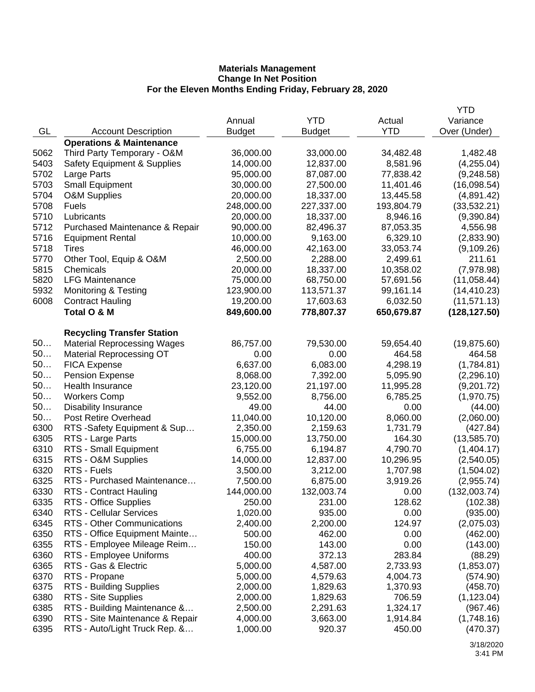|              |                                        |               |               |            | YTD                      |
|--------------|----------------------------------------|---------------|---------------|------------|--------------------------|
|              |                                        | Annual        | <b>YTD</b>    | Actual     | Variance                 |
| GL           | <b>Account Description</b>             | <b>Budget</b> | <b>Budget</b> | <b>YTD</b> | Over (Under)             |
|              | <b>Operations &amp; Maintenance</b>    |               |               |            |                          |
| 5062         | Third Party Temporary - O&M            | 36,000.00     | 33,000.00     | 34,482.48  | 1,482.48                 |
| 5403         | <b>Safety Equipment &amp; Supplies</b> | 14,000.00     | 12,837.00     | 8,581.96   | (4,255.04)               |
| 5702         | Large Parts                            | 95,000.00     | 87,087.00     | 77,838.42  | (9,248.58)               |
| 5703         | <b>Small Equipment</b>                 | 30,000.00     | 27,500.00     | 11,401.46  | (16,098.54)              |
| 5704         | O&M Supplies                           | 20,000.00     | 18,337.00     | 13,445.58  | (4,891.42)               |
| 5708         | <b>Fuels</b>                           | 248,000.00    | 227,337.00    | 193,804.79 | (33,532.21)              |
| 5710         | Lubricants                             | 20,000.00     | 18,337.00     | 8,946.16   | (9,390.84)               |
| 5712         | Purchased Maintenance & Repair         | 90,000.00     | 82,496.37     | 87,053.35  | 4,556.98                 |
| 5716         | <b>Equipment Rental</b>                | 10,000.00     | 9,163.00      | 6,329.10   | (2,833.90)               |
| 5718         | <b>Tires</b>                           | 46,000.00     | 42,163.00     | 33,053.74  | (9,109.26)               |
| 5770         | Other Tool, Equip & O&M                | 2,500.00      | 2,288.00      | 2,499.61   | 211.61                   |
| 5815         | Chemicals                              | 20,000.00     | 18,337.00     | 10,358.02  | (7,978.98)               |
| 5820         | <b>LFG Maintenance</b>                 | 75,000.00     | 68,750.00     | 57,691.56  | (11,058.44)              |
| 5932         | <b>Monitoring &amp; Testing</b>        | 123,900.00    | 113,571.37    | 99,161.14  | (14, 410.23)             |
| 6008         | <b>Contract Hauling</b>                | 19,200.00     | 17,603.63     | 6,032.50   | (11, 571.13)             |
|              | Total O & M                            | 849,600.00    | 778,807.37    | 650,679.87 | (128, 127.50)            |
|              |                                        |               |               |            |                          |
|              | <b>Recycling Transfer Station</b>      |               |               |            |                          |
| 50           | <b>Material Reprocessing Wages</b>     | 86,757.00     | 79,530.00     | 59,654.40  | (19, 875.60)             |
| 50           | <b>Material Reprocessing OT</b>        | 0.00          | 0.00          | 464.58     | 464.58                   |
| 50           | <b>FICA Expense</b>                    | 6,637.00      | 6,083.00      | 4,298.19   | (1,784.81)               |
| 50           | Pension Expense                        | 8,068.00      | 7,392.00      | 5,095.90   | (2, 296.10)              |
| 50           | Health Insurance                       | 23,120.00     | 21,197.00     | 11,995.28  | (9,201.72)               |
| 50           | <b>Workers Comp</b>                    | 9,552.00      | 8,756.00      | 6,785.25   | (1,970.75)               |
| 50           | <b>Disability Insurance</b>            | 49.00         | 44.00         | 0.00       | (44.00)                  |
| 50           | Post Retire Overhead                   | 11,040.00     | 10,120.00     | 8,060.00   | (2,060.00)               |
| 6300         | RTS -Safety Equipment & Sup            | 2,350.00      | 2,159.63      | 1,731.79   | (427.84)                 |
| 6305         | RTS - Large Parts                      | 15,000.00     | 13,750.00     | 164.30     | (13,585.70)              |
| 6310         | RTS - Small Equipment                  | 6,755.00      | 6,194.87      | 4,790.70   | (1,404.17)               |
| 6315         | RTS - O&M Supplies                     | 14,000.00     | 12,837.00     | 10,296.95  |                          |
| 6320         | RTS - Fuels                            | 3,500.00      | 3,212.00      | 1,707.98   | (2,540.05)               |
| 6325         | RTS - Purchased Maintenance            | 7,500.00      | 6,875.00      | 3,919.26   | (1,504.02)<br>(2,955.74) |
| 6330         | <b>RTS - Contract Hauling</b>          | 144,000.00    | 132,003.74    | 0.00       | (132,003.74)             |
|              |                                        |               |               |            |                          |
| 6335         | RTS - Office Supplies                  | 250.00        | 231.00        | 128.62     | (102.38)                 |
| 6340<br>6345 | <b>RTS - Cellular Services</b>         | 1,020.00      | 935.00        | 0.00       | (935.00)                 |
|              | <b>RTS - Other Communications</b>      | 2,400.00      | 2,200.00      | 124.97     | (2,075.03)               |
| 6350         | RTS - Office Equipment Mainte          | 500.00        | 462.00        | 0.00       | (462.00)                 |
| 6355         | RTS - Employee Mileage Reim            | 150.00        | 143.00        | 0.00       | (143.00)                 |
| 6360         | RTS - Employee Uniforms                | 400.00        | 372.13        | 283.84     | (88.29)                  |
| 6365         | RTS - Gas & Electric                   | 5,000.00      | 4,587.00      | 2,733.93   | (1,853.07)               |
| 6370         | RTS - Propane                          | 5,000.00      | 4,579.63      | 4,004.73   | (574.90)                 |
| 6375         | RTS - Building Supplies                | 2,000.00      | 1,829.63      | 1,370.93   | (458.70)                 |
| 6380         | RTS - Site Supplies                    | 2,000.00      | 1,829.63      | 706.59     | (1, 123.04)              |
| 6385         | RTS - Building Maintenance &           | 2,500.00      | 2,291.63      | 1,324.17   | (967.46)                 |
| 6390         | RTS - Site Maintenance & Repair        | 4,000.00      | 3,663.00      | 1,914.84   | (1,748.16)               |
| 6395         | RTS - Auto/Light Truck Rep. &          | 1,000.00      | 920.37        | 450.00     | (470.37)                 |
|              |                                        |               |               |            |                          |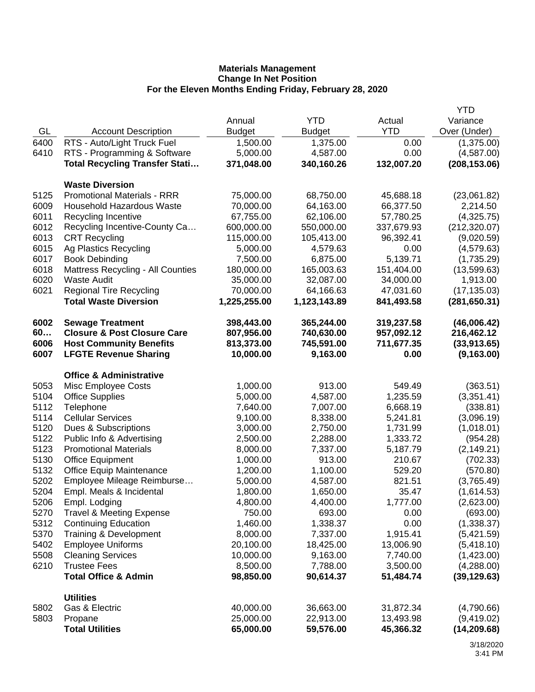|      |                                        |               |               |            | <b>YTD</b>    |
|------|----------------------------------------|---------------|---------------|------------|---------------|
|      |                                        | Annual        | <b>YTD</b>    | Actual     | Variance      |
| GL   | <b>Account Description</b>             | <b>Budget</b> | <b>Budget</b> | <b>YTD</b> | Over (Under)  |
| 6400 | RTS - Auto/Light Truck Fuel            | 1,500.00      | 1,375.00      | 0.00       | (1,375.00)    |
| 6410 | RTS - Programming & Software           | 5,000.00      | 4,587.00      | 0.00       | (4,587.00)    |
|      | <b>Total Recycling Transfer Stati</b>  | 371,048.00    | 340,160.26    | 132,007.20 | (208, 153.06) |
|      | <b>Waste Diversion</b>                 |               |               |            |               |
| 5125 | <b>Promotional Materials - RRR</b>     | 75,000.00     | 68,750.00     | 45,688.18  | (23,061.82)   |
| 6009 | <b>Household Hazardous Waste</b>       | 70,000.00     | 64,163.00     | 66,377.50  | 2,214.50      |
| 6011 | Recycling Incentive                    | 67,755.00     | 62,106.00     | 57,780.25  | (4,325.75)    |
| 6012 | Recycling Incentive-County Ca          | 600,000.00    | 550,000.00    | 337,679.93 | (212, 320.07) |
| 6013 | <b>CRT Recycling</b>                   | 115,000.00    | 105,413.00    | 96,392.41  | (9,020.59)    |
| 6015 | Ag Plastics Recycling                  | 5,000.00      | 4,579.63      | 0.00       | (4,579.63)    |
| 6017 | <b>Book Debinding</b>                  | 7,500.00      | 6,875.00      | 5,139.71   | (1,735.29)    |
| 6018 | Mattress Recycling - All Counties      | 180,000.00    | 165,003.63    | 151,404.00 | (13,599.63)   |
| 6020 | <b>Waste Audit</b>                     | 35,000.00     | 32,087.00     | 34,000.00  | 1,913.00      |
| 6021 | <b>Regional Tire Recycling</b>         | 70,000.00     | 64,166.63     | 47,031.60  | (17, 135.03)  |
|      | <b>Total Waste Diversion</b>           | 1,225,255.00  | 1,123,143.89  | 841,493.58 | (281, 650.31) |
| 6002 | <b>Sewage Treatment</b>                | 398,443.00    | 365,244.00    | 319,237.58 | (46,006.42)   |
| 60   | <b>Closure &amp; Post Closure Care</b> | 807,956.00    | 740,630.00    | 957,092.12 | 216,462.12    |
| 6006 | <b>Host Community Benefits</b>         | 813,373.00    | 745,591.00    | 711,677.35 | (33, 913.65)  |
| 6007 | <b>LFGTE Revenue Sharing</b>           | 10,000.00     | 9,163.00      | 0.00       | (9, 163.00)   |
|      | <b>Office &amp; Administrative</b>     |               |               |            |               |
| 5053 | Misc Employee Costs                    | 1,000.00      | 913.00        | 549.49     | (363.51)      |
| 5104 | <b>Office Supplies</b>                 | 5,000.00      | 4,587.00      | 1,235.59   | (3,351.41)    |
| 5112 | Telephone                              | 7,640.00      | 7,007.00      | 6,668.19   | (338.81)      |
| 5114 | <b>Cellular Services</b>               | 9,100.00      | 8,338.00      | 5,241.81   | (3,096.19)    |
| 5120 | Dues & Subscriptions                   | 3,000.00      | 2,750.00      | 1,731.99   | (1,018.01)    |
| 5122 | Public Info & Advertising              | 2,500.00      | 2,288.00      | 1,333.72   | (954.28)      |
| 5123 | <b>Promotional Materials</b>           | 8,000.00      | 7,337.00      | 5,187.79   | (2, 149.21)   |
| 5130 | <b>Office Equipment</b>                | 1,000.00      | 913.00        | 210.67     | (702.33)      |
| 5132 | <b>Office Equip Maintenance</b>        | 1,200.00      | 1,100.00      | 529.20     | (570.80)      |
| 5202 | Employee Mileage Reimburse             | 5,000.00      | 4,587.00      | 821.51     | (3,765.49)    |
| 5204 | Empl. Meals & Incidental               | 1,800.00      | 1,650.00      | 35.47      | (1,614.53)    |
| 5206 | Empl. Lodging                          | 4,800.00      | 4,400.00      | 1,777.00   | (2,623.00)    |
| 5270 | <b>Travel &amp; Meeting Expense</b>    | 750.00        | 693.00        | 0.00       | (693.00)      |
| 5312 | <b>Continuing Education</b>            | 1,460.00      | 1,338.37      | 0.00       | (1,338.37)    |
| 5370 | Training & Development                 | 8,000.00      | 7,337.00      | 1,915.41   | (5,421.59)    |
| 5402 | <b>Employee Uniforms</b>               | 20,100.00     | 18,425.00     | 13,006.90  | (5,418.10)    |
| 5508 | <b>Cleaning Services</b>               | 10,000.00     | 9,163.00      | 7,740.00   | (1,423.00)    |
| 6210 | <b>Trustee Fees</b>                    | 8,500.00      | 7,788.00      | 3,500.00   | (4,288.00)    |
|      | <b>Total Office &amp; Admin</b>        | 98,850.00     | 90,614.37     | 51,484.74  | (39, 129.63)  |
|      | <b>Utilities</b>                       |               |               |            |               |
| 5802 | Gas & Electric                         | 40,000.00     | 36,663.00     | 31,872.34  | (4,790.66)    |
| 5803 | Propane                                | 25,000.00     | 22,913.00     | 13,493.98  | (9,419.02)    |
|      | <b>Total Utilities</b>                 | 65,000.00     | 59,576.00     | 45,366.32  | (14, 209.68)  |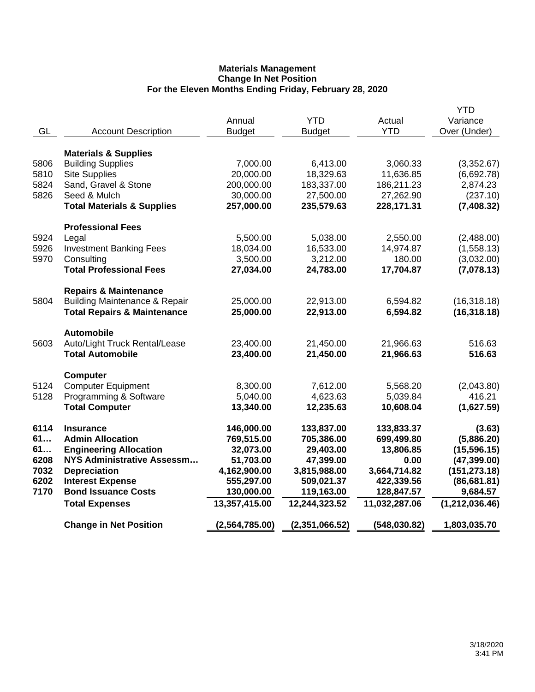|      |                                          |                  |                |               | YTD              |
|------|------------------------------------------|------------------|----------------|---------------|------------------|
|      |                                          | Annual           | <b>YTD</b>     | Actual        | Variance         |
| GL   | <b>Account Description</b>               | <b>Budget</b>    | <b>Budget</b>  | <b>YTD</b>    | Over (Under)     |
|      | <b>Materials &amp; Supplies</b>          |                  |                |               |                  |
| 5806 | <b>Building Supplies</b>                 | 7,000.00         | 6,413.00       | 3,060.33      | (3,352.67)       |
| 5810 | <b>Site Supplies</b>                     | 20,000.00        | 18,329.63      | 11,636.85     | (6,692.78)       |
| 5824 | Sand, Gravel & Stone                     | 200,000.00       | 183,337.00     | 186,211.23    | 2,874.23         |
| 5826 | Seed & Mulch                             | 30,000.00        | 27,500.00      | 27,262.90     | (237.10)         |
|      | <b>Total Materials &amp; Supplies</b>    | 257,000.00       | 235,579.63     | 228,171.31    | (7,408.32)       |
|      | <b>Professional Fees</b>                 |                  |                |               |                  |
| 5924 | Legal                                    | 5,500.00         | 5,038.00       | 2,550.00      | (2,488.00)       |
| 5926 | <b>Investment Banking Fees</b>           | 18,034.00        | 16,533.00      | 14,974.87     | (1,558.13)       |
| 5970 | Consulting                               | 3,500.00         | 3,212.00       | 180.00        | (3,032.00)       |
|      | <b>Total Professional Fees</b>           | 27,034.00        | 24,783.00      | 17,704.87     | (7,078.13)       |
|      | <b>Repairs &amp; Maintenance</b>         |                  |                |               |                  |
| 5804 | <b>Building Maintenance &amp; Repair</b> | 25,000.00        | 22,913.00      | 6,594.82      | (16, 318.18)     |
|      | <b>Total Repairs &amp; Maintenance</b>   | 25,000.00        | 22,913.00      | 6,594.82      | (16, 318.18)     |
|      | <b>Automobile</b>                        |                  |                |               |                  |
| 5603 | Auto/Light Truck Rental/Lease            | 23,400.00        | 21,450.00      | 21,966.63     | 516.63           |
|      | <b>Total Automobile</b>                  | 23,400.00        | 21,450.00      | 21,966.63     | 516.63           |
|      | <b>Computer</b>                          |                  |                |               |                  |
| 5124 | <b>Computer Equipment</b>                | 8,300.00         | 7,612.00       | 5,568.20      | (2,043.80)       |
| 5128 | Programming & Software                   | 5,040.00         | 4,623.63       | 5,039.84      | 416.21           |
|      | <b>Total Computer</b>                    | 13,340.00        | 12,235.63      | 10,608.04     | (1,627.59)       |
| 6114 | <b>Insurance</b>                         | 146,000.00       | 133,837.00     | 133,833.37    | (3.63)           |
| 61   | <b>Admin Allocation</b>                  | 769,515.00       | 705,386.00     | 699,499.80    | (5,886.20)       |
| 61   | <b>Engineering Allocation</b>            | 32,073.00        | 29,403.00      | 13,806.85     | (15, 596.15)     |
| 6208 | <b>NYS Administrative Assessm</b>        | 51,703.00        | 47,399.00      | 0.00          | (47, 399.00)     |
| 7032 | <b>Depreciation</b>                      | 4,162,900.00     | 3,815,988.00   | 3,664,714.82  | (151, 273.18)    |
| 6202 | <b>Interest Expense</b>                  | 555,297.00       | 509,021.37     | 422,339.56    | (86, 681.81)     |
| 7170 | <b>Bond Issuance Costs</b>               | 130,000.00       | 119,163.00     | 128,847.57    | 9,684.57         |
|      | <b>Total Expenses</b>                    | 13,357,415.00    | 12,244,323.52  | 11,032,287.06 | (1, 212, 036.46) |
|      | <b>Change in Net Position</b>            | (2, 564, 785.00) | (2,351,066.52) | (548, 030.82) | 1,803,035.70     |
|      |                                          |                  |                |               |                  |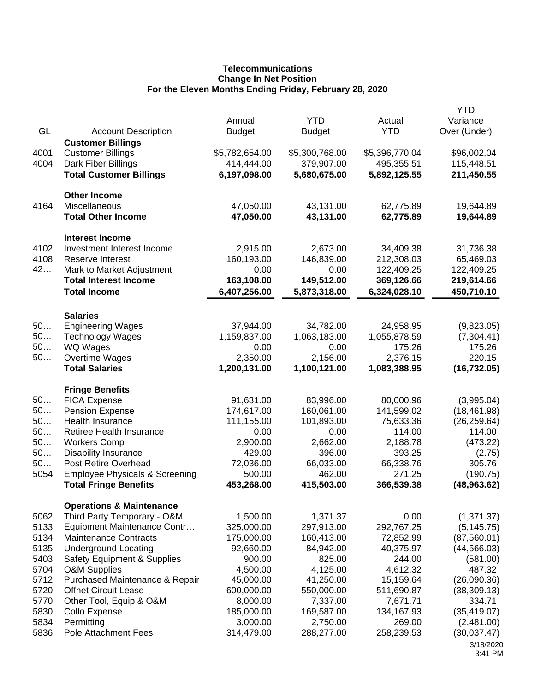# **Telecommunications Change In Net Position For the Eleven Months Ending Friday, February 28, 2020**

|      |                                                                    | Annual                 | <b>YTD</b>             | Actual                 | YTD<br>Variance          |
|------|--------------------------------------------------------------------|------------------------|------------------------|------------------------|--------------------------|
| GL   | <b>Account Description</b>                                         | <b>Budget</b>          | <b>Budget</b>          | <b>YTD</b>             | Over (Under)             |
|      | <b>Customer Billings</b>                                           |                        |                        |                        |                          |
| 4001 | <b>Customer Billings</b>                                           | \$5,782,654.00         | \$5,300,768.00         | \$5,396,770.04         | \$96,002.04              |
| 4004 | Dark Fiber Billings                                                | 414,444.00             | 379,907.00             | 495,355.51             | 115,448.51               |
|      | <b>Total Customer Billings</b>                                     | 6,197,098.00           | 5,680,675.00           | 5,892,125.55           | 211,450.55               |
|      | <b>Other Income</b>                                                |                        |                        |                        |                          |
| 4164 | Miscellaneous<br><b>Total Other Income</b>                         | 47,050.00<br>47,050.00 | 43,131.00<br>43,131.00 | 62,775.89<br>62,775.89 | 19,644.89<br>19,644.89   |
|      |                                                                    |                        |                        |                        |                          |
| 4102 | <b>Interest Income</b><br>Investment Interest Income               | 2,915.00               | 2,673.00               | 34,409.38              | 31,736.38                |
| 4108 | Reserve Interest                                                   | 160,193.00             | 146,839.00             | 212,308.03             | 65,469.03                |
| 42   | Mark to Market Adjustment                                          | 0.00                   | 0.00                   | 122,409.25             | 122,409.25               |
|      | <b>Total Interest Income</b>                                       | 163,108.00             | 149,512.00             | 369,126.66             | 219,614.66               |
|      | <b>Total Income</b>                                                | 6,407,256.00           | 5,873,318.00           | 6,324,028.10           | 450,710.10               |
|      | <b>Salaries</b>                                                    |                        |                        |                        |                          |
| 50   | <b>Engineering Wages</b>                                           | 37,944.00              | 34,782.00              | 24,958.95              | (9,823.05)               |
| 50   | <b>Technology Wages</b>                                            | 1,159,837.00           | 1,063,183.00           | 1,055,878.59           | (7,304.41)               |
| 50   | WQ Wages                                                           | 0.00                   | 0.00                   | 175.26                 | 175.26                   |
| 50   | Overtime Wages                                                     | 2,350.00               | 2,156.00               | 2,376.15               | 220.15                   |
|      | <b>Total Salaries</b>                                              | 1,200,131.00           | 1,100,121.00           | 1,083,388.95           | (16, 732.05)             |
|      | <b>Fringe Benefits</b>                                             |                        |                        |                        |                          |
| 50   | <b>FICA Expense</b>                                                | 91,631.00              | 83,996.00              | 80,000.96              | (3,995.04)               |
| 50   | Pension Expense                                                    | 174,617.00             | 160,061.00             | 141,599.02             | (18, 461.98)             |
| 50   | <b>Health Insurance</b>                                            | 111,155.00             | 101,893.00             | 75,633.36              | (26, 259.64)             |
| 50   | Retiree Health Insurance                                           | 0.00                   | 0.00                   | 114.00                 | 114.00                   |
| 50   | <b>Workers Comp</b>                                                | 2,900.00               | 2,662.00               | 2,188.78               | (473.22)                 |
| 50   | <b>Disability Insurance</b>                                        | 429.00                 | 396.00                 | 393.25                 | (2.75)                   |
| 50   | Post Retire Overhead                                               | 72,036.00              | 66,033.00              | 66,338.76              | 305.76                   |
| 5054 | <b>Employee Physicals &amp; Screening</b>                          | 500.00<br>453,268.00   | 462.00<br>415,503.00   | 271.25<br>366,539.38   | (190.75)<br>(48, 963.62) |
|      | <b>Total Fringe Benefits</b>                                       |                        |                        |                        |                          |
| 5062 | <b>Operations &amp; Maintenance</b><br>Third Party Temporary - O&M | 1,500.00               | 1,371.37               | 0.00                   | (1,371.37)               |
| 5133 | Equipment Maintenance Contr                                        | 325,000.00             | 297,913.00             | 292,767.25             | (5, 145.75)              |
| 5134 | <b>Maintenance Contracts</b>                                       | 175,000.00             | 160,413.00             | 72,852.99              | (87, 560.01)             |
| 5135 | <b>Underground Locating</b>                                        | 92,660.00              | 84,942.00              | 40,375.97              | (44, 566.03)             |
| 5403 | <b>Safety Equipment &amp; Supplies</b>                             | 900.00                 | 825.00                 | 244.00                 | (581.00)                 |
| 5704 | <b>O&amp;M Supplies</b>                                            | 4,500.00               | 4,125.00               | 4,612.32               | 487.32                   |
| 5712 | Purchased Maintenance & Repair                                     | 45,000.00              | 41,250.00              | 15,159.64              | (26,090.36)              |
| 5720 | <b>Offnet Circuit Lease</b>                                        | 600,000.00             | 550,000.00             | 511,690.87             | (38, 309.13)             |
| 5770 | Other Tool, Equip & O&M                                            | 8,000.00               | 7,337.00               | 7,671.71               | 334.71                   |
| 5830 | Collo Expense                                                      | 185,000.00             | 169,587.00             | 134,167.93             | (35, 419.07)             |
| 5834 | Permitting                                                         | 3,000.00               | 2,750.00               | 269.00                 | (2,481.00)               |
| 5836 | <b>Pole Attachment Fees</b>                                        | 314,479.00             | 288,277.00             | 258,239.53             | (30,037.47)              |
|      |                                                                    |                        |                        |                        | 3/18/2020<br>3:41 PM     |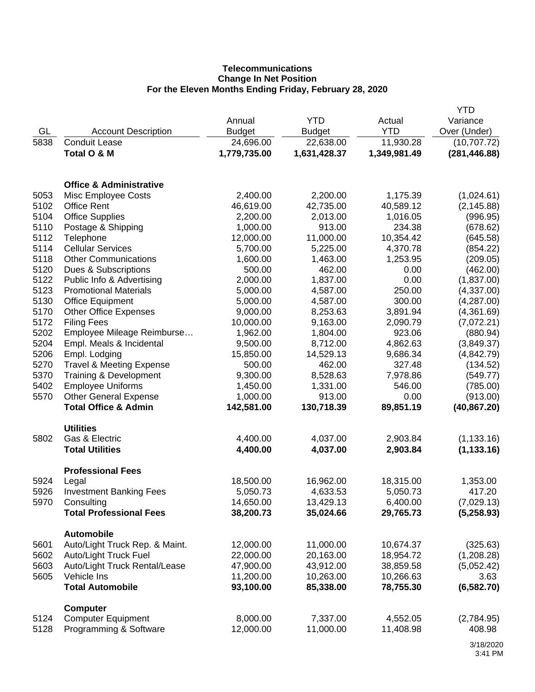# **Telecommunications Change In Net Position For the Eleven Months Ending Friday, February 28, 2020**

|              |                                     |                       |               |                    | <b>YTD</b>           |
|--------------|-------------------------------------|-----------------------|---------------|--------------------|----------------------|
|              |                                     | Annual                | <b>YTD</b>    | Actual             | Variance             |
| GL           | <b>Account Description</b>          | <b>Budget</b>         | <b>Budget</b> | <b>YTD</b>         | Over (Under)         |
| 5838         | <b>Conduit Lease</b>                | 24,696.00             | 22,638.00     | 11,930.28          | (10,707.72)          |
|              | Total O & M                         | 1,779,735.00          | 1,631,428.37  | 1,349,981.49       | (281, 446.88)        |
|              |                                     |                       |               |                    |                      |
|              | <b>Office &amp; Administrative</b>  |                       |               |                    |                      |
| 5053         | Misc Employee Costs                 | 2,400.00              | 2,200.00      | 1,175.39           | (1,024.61)           |
| 5102         | <b>Office Rent</b>                  | 46,619.00             | 42,735.00     | 40,589.12          | (2, 145.88)          |
| 5104         | <b>Office Supplies</b>              | 2,200.00              | 2,013.00      | 1,016.05           | (996.95)             |
| 5110         | Postage & Shipping                  | 1,000.00              | 913.00        | 234.38             | (678.62)             |
| 5112         | Telephone                           | 12,000.00             | 11,000.00     | 10,354.42          | (645.58)             |
| 5114         | <b>Cellular Services</b>            | 5,700.00              | 5,225.00      | 4,370.78           | (854.22)             |
| 5118         | <b>Other Communications</b>         | 1,600.00              | 1,463.00      | 1,253.95           | (209.05)             |
| 5120         | Dues & Subscriptions                | 500.00                | 462.00        | 0.00               | (462.00)             |
| 5122         | Public Info & Advertising           | 2,000.00              | 1,837.00      | 0.00               | (1,837.00)           |
| 5123         | <b>Promotional Materials</b>        | 5,000.00              | 4,587.00      | 250.00             | (4,337.00)           |
| 5130         | <b>Office Equipment</b>             | 5,000.00              | 4,587.00      | 300.00             | (4,287.00)           |
| 5170         | <b>Other Office Expenses</b>        | 9,000.00              | 8,253.63      | 3,891.94           | (4,361.69)           |
| 5172         | <b>Filing Fees</b>                  |                       |               |                    |                      |
| 5202         |                                     | 10,000.00             | 9,163.00      | 2,090.79<br>923.06 | (7,072.21)           |
|              | Employee Mileage Reimburse          | 1,962.00              | 1,804.00      |                    | (880.94)             |
| 5204         | Empl. Meals & Incidental            | 9,500.00              | 8,712.00      | 4,862.63           | (3,849.37)           |
| 5206         | Empl. Lodging                       | 15,850.00             | 14,529.13     | 9,686.34           | (4,842.79)           |
| 5270         | <b>Travel &amp; Meeting Expense</b> | 500.00                | 462.00        | 327.48             | (134.52)             |
| 5370         | Training & Development              | 9,300.00              | 8,528.63      | 7,978.86           | (549.77)             |
| 5402         | <b>Employee Uniforms</b>            | 1,450.00              | 1,331.00      | 546.00             | (785.00)             |
| 5570         | <b>Other General Expense</b>        | 1,000.00              | 913.00        | 0.00               | (913.00)             |
|              | <b>Total Office &amp; Admin</b>     | 142,581.00            | 130,718.39    | 89,851.19          | (40, 867.20)         |
|              | <b>Utilities</b>                    |                       |               |                    |                      |
| 5802         | Gas & Electric                      | 4,400.00              | 4,037.00      | 2,903.84           | (1, 133.16)          |
|              | <b>Total Utilities</b>              | 4,400.00              | 4,037.00      | 2,903.84           | (1, 133.16)          |
|              | <b>Professional Fees</b>            |                       |               |                    |                      |
| 5924         | Legal                               | 18,500.00             | 16,962.00     | 18,315.00          | 1,353.00             |
| 5926         | <b>Investment Banking Fees</b>      | 5,050.73              | 4,633.53      | 5,050.73           | 417.20               |
| 5970         | Consulting                          | 14,650.00             | 13,429.13     | 6,400.00           | (7,029.13)           |
|              | <b>Total Professional Fees</b>      | 38,200.73             | 35,024.66     | 29,765.73          | (5,258.93)           |
|              | <b>Automobile</b>                   |                       |               |                    |                      |
| 5601         | Auto/Light Truck Rep. & Maint.      | 12,000.00             | 11,000.00     | 10,674.37          | (325.63)             |
| 5602         | Auto/Light Truck Fuel               | 22,000.00             | 20,163.00     | 18,954.72          | (1,208.28)           |
| 5603         | Auto/Light Truck Rental/Lease       | 47,900.00             | 43,912.00     | 38,859.58          | (5,052.42)           |
| 5605         | Vehicle Ins                         | 11,200.00             | 10,263.00     | 10,266.63          | 3.63                 |
|              | <b>Total Automobile</b>             | 93,100.00             | 85,338.00     | 78,755.30          | (6, 582.70)          |
|              |                                     |                       |               |                    |                      |
|              | <b>Computer</b>                     |                       |               |                    |                      |
| 5124<br>5128 | <b>Computer Equipment</b>           | 8,000.00<br>12,000.00 | 7,337.00      | 4,552.05           | (2,784.95)<br>408.98 |
|              | Programming & Software              |                       | 11,000.00     | 11,408.98          |                      |
|              |                                     |                       |               |                    | $0.40$ $0.000$       |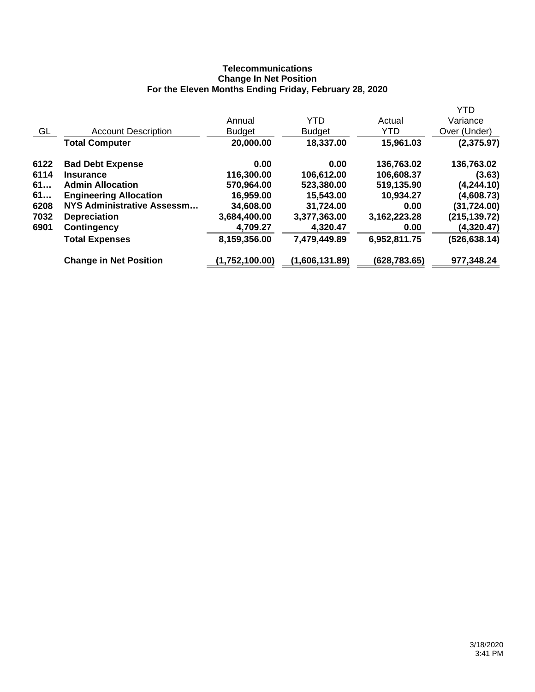## **Telecommunications Change In Net Position For the Eleven Months Ending Friday, February 28, 2020**

|      |                                   |                |                |               | <b>YTD</b>    |
|------|-----------------------------------|----------------|----------------|---------------|---------------|
|      |                                   | Annual         | <b>YTD</b>     | Actual        | Variance      |
| GL   | <b>Account Description</b>        | <b>Budget</b>  | <b>Budget</b>  | <b>YTD</b>    | Over (Under)  |
|      | <b>Total Computer</b>             | 20,000.00      | 18,337.00      | 15,961.03     | (2,375.97)    |
| 6122 | <b>Bad Debt Expense</b>           | 0.00           | 0.00           | 136,763.02    | 136,763.02    |
| 6114 | <b>Insurance</b>                  | 116,300.00     | 106,612.00     | 106,608.37    | (3.63)        |
| 61   | <b>Admin Allocation</b>           | 570,964.00     | 523,380.00     | 519,135.90    | (4, 244.10)   |
| 61   | <b>Engineering Allocation</b>     | 16,959.00      | 15,543.00      | 10,934.27     | (4,608.73)    |
| 6208 | <b>NYS Administrative Assessm</b> | 34,608.00      | 31,724.00      | 0.00          | (31,724.00)   |
| 7032 | <b>Depreciation</b>               | 3,684,400.00   | 3,377,363.00   | 3,162,223.28  | (215,139.72)  |
| 6901 | <b>Contingency</b>                | 4,709.27       | 4,320.47       | 0.00          | (4,320.47)    |
|      | <b>Total Expenses</b>             | 8,159,356.00   | 7,479,449.89   | 6,952,811.75  | (526, 638.14) |
|      | <b>Change in Net Position</b>     | (1,752,100.00) | (1,606,131.89) | (628, 783.65) | 977,348.24    |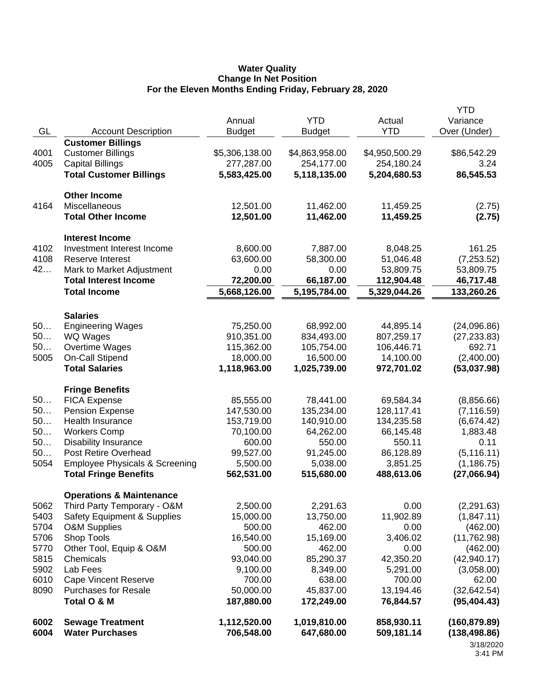#### **Water Quality Change In Net Position For the Eleven Months Ending Friday, February 28, 2020**

|              |                                                   |                            |                            |                          | <b>YTD</b>                                  |
|--------------|---------------------------------------------------|----------------------------|----------------------------|--------------------------|---------------------------------------------|
|              |                                                   | Annual                     | <b>YTD</b>                 | Actual                   | Variance                                    |
| GL           | <b>Account Description</b>                        | <b>Budget</b>              | <b>Budget</b>              | <b>YTD</b>               | Over (Under)                                |
|              | <b>Customer Billings</b>                          |                            |                            |                          |                                             |
| 4001         | <b>Customer Billings</b>                          | \$5,306,138.00             | \$4,863,958.00             | \$4,950,500.29           | \$86,542.29                                 |
| 4005         | <b>Capital Billings</b>                           | 277,287.00                 | 254,177.00                 | 254,180.24               | 3.24                                        |
|              | <b>Total Customer Billings</b>                    | 5,583,425.00               | 5,118,135.00               | 5,204,680.53             | 86,545.53                                   |
|              | <b>Other Income</b>                               |                            |                            |                          |                                             |
| 4164         | Miscellaneous                                     | 12,501.00                  | 11,462.00                  | 11,459.25                | (2.75)                                      |
|              | <b>Total Other Income</b>                         | 12,501.00                  | 11,462.00                  | 11,459.25                | (2.75)                                      |
|              | <b>Interest Income</b>                            |                            |                            |                          |                                             |
| 4102         | Investment Interest Income                        | 8,600.00                   | 7,887.00                   | 8,048.25                 | 161.25                                      |
| 4108         | <b>Reserve Interest</b>                           | 63,600.00                  | 58,300.00                  | 51,046.48                | (7,253.52)                                  |
| 42           | Mark to Market Adjustment                         | 0.00                       | 0.00                       | 53,809.75                | 53,809.75                                   |
|              | <b>Total Interest Income</b>                      | 72,200.00                  | 66,187.00                  | 112,904.48               | 46,717.48                                   |
|              | <b>Total Income</b>                               | 5,668,126.00               | 5,195,784.00               | 5,329,044.26             | 133,260.26                                  |
|              | <b>Salaries</b>                                   |                            |                            |                          |                                             |
| 50           | <b>Engineering Wages</b>                          | 75,250.00                  | 68,992.00                  | 44,895.14                | (24,096.86)                                 |
| 50           | WQ Wages                                          | 910,351.00                 | 834,493.00                 | 807,259.17               | (27, 233.83)                                |
| 50           | Overtime Wages                                    | 115,362.00                 | 105,754.00                 | 106,446.71               | 692.71                                      |
| 5005         | <b>On-Call Stipend</b>                            | 18,000.00                  | 16,500.00                  | 14,100.00                | (2,400.00)                                  |
|              | <b>Total Salaries</b>                             | 1,118,963.00               | 1,025,739.00               | 972,701.02               | (53,037.98)                                 |
|              | <b>Fringe Benefits</b>                            |                            |                            |                          |                                             |
| 50           | <b>FICA Expense</b>                               | 85,555.00                  | 78,441.00                  | 69,584.34                | (8,856.66)                                  |
| 50           | <b>Pension Expense</b>                            | 147,530.00                 | 135,234.00                 | 128,117.41               | (7, 116.59)                                 |
| 50           | Health Insurance                                  | 153,719.00                 | 140,910.00                 | 134,235.58               | (6,674.42)                                  |
| 50           | <b>Workers Comp</b>                               | 70,100.00                  | 64,262.00                  | 66,145.48                | 1,883.48                                    |
| 50           | <b>Disability Insurance</b>                       | 600.00                     | 550.00                     | 550.11                   | 0.11                                        |
| 50           | Post Retire Overhead                              | 99,527.00                  | 91,245.00                  | 86,128.89                | (5, 116.11)                                 |
| 5054         | <b>Employee Physicals &amp; Screening</b>         | 5,500.00                   | 5,038.00                   | 3,851.25                 | (1, 186.75)                                 |
|              | <b>Total Fringe Benefits</b>                      | 562,531.00                 | 515,680.00                 | 488,613.06               | (27,066.94)                                 |
|              | <b>Operations &amp; Maintenance</b>               |                            |                            |                          |                                             |
| 5062         | Third Party Temporary - O&M                       | 2,500.00                   | 2,291.63                   | 0.00                     | (2,291.63)                                  |
| 5403         | <b>Safety Equipment &amp; Supplies</b>            | 15,000.00                  | 13,750.00                  | 11,902.89                | (1,847.11)                                  |
| 5704         | <b>O&amp;M Supplies</b>                           | 500.00                     | 462.00                     | 0.00                     | (462.00)                                    |
| 5706         | Shop Tools                                        | 16,540.00                  | 15,169.00                  | 3,406.02                 | (11, 762.98)                                |
| 5770         | Other Tool, Equip & O&M                           | 500.00                     | 462.00                     | 0.00                     | (462.00)                                    |
| 5815         | Chemicals                                         | 93,040.00                  | 85,290.37                  | 42,350.20                | (42, 940.17)                                |
| 5902         | Lab Fees                                          | 9,100.00                   | 8,349.00                   | 5,291.00                 | (3,058.00)                                  |
| 6010         | <b>Cape Vincent Reserve</b>                       | 700.00                     | 638.00                     | 700.00                   | 62.00                                       |
| 8090         | <b>Purchases for Resale</b>                       | 50,000.00                  | 45,837.00                  | 13,194.46                | (32, 642.54)                                |
|              | Total O & M                                       | 187,880.00                 | 172,249.00                 | 76,844.57                | (95, 404.43)                                |
| 6002<br>6004 | <b>Sewage Treatment</b><br><b>Water Purchases</b> | 1,112,520.00<br>706,548.00 | 1,019,810.00<br>647,680.00 | 858,930.11<br>509,181.14 | (160, 879.89)<br>(138, 498.86)<br>3/18/2020 |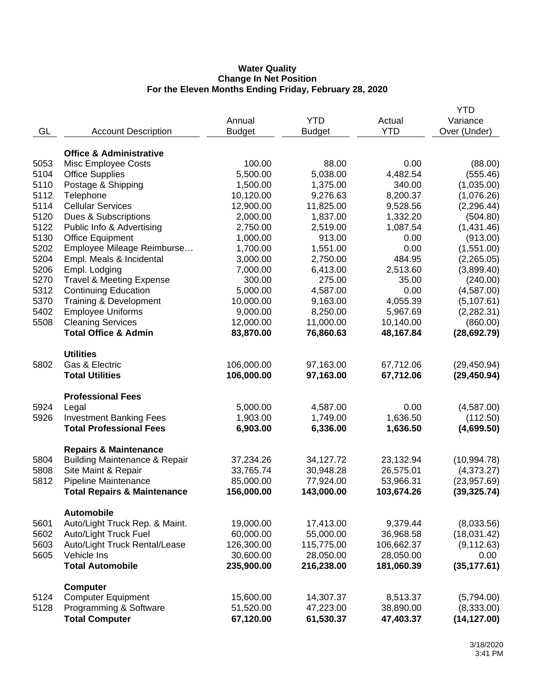#### **Water Quality Change In Net Position For the Eleven Months Ending Friday, February 28, 2020**

|              |                                              |                        |                        |                         | <b>YTD</b>                |
|--------------|----------------------------------------------|------------------------|------------------------|-------------------------|---------------------------|
|              |                                              | Annual                 | <b>YTD</b>             | Actual                  | Variance                  |
| GL           | <b>Account Description</b>                   | <b>Budget</b>          | <b>Budget</b>          | <b>YTD</b>              | Over (Under)              |
|              |                                              |                        |                        |                         |                           |
|              | <b>Office &amp; Administrative</b>           |                        |                        |                         |                           |
| 5053         | Misc Employee Costs                          | 100.00                 | 88.00                  | 0.00                    | (88.00)                   |
| 5104         | <b>Office Supplies</b>                       | 5,500.00               | 5,038.00               | 4,482.54                | (555.46)                  |
| 5110         | Postage & Shipping                           | 1,500.00               | 1,375.00               | 340.00                  | (1,035.00)                |
| 5112         | Telephone                                    | 10,120.00              | 9,276.63               | 8,200.37                | (1,076.26)                |
| 5114         | <b>Cellular Services</b>                     | 12,900.00              | 11,825.00              | 9,528.56                | (2, 296.44)               |
| 5120         | Dues & Subscriptions                         | 2,000.00               | 1,837.00               | 1,332.20                | (504.80)                  |
| 5122         | Public Info & Advertising                    | 2,750.00               | 2,519.00               | 1,087.54                | (1,431.46)                |
| 5130         | <b>Office Equipment</b>                      | 1,000.00               | 913.00                 | 0.00                    | (913.00)                  |
| 5202         | Employee Mileage Reimburse                   | 1,700.00               | 1,551.00               | 0.00                    | (1,551.00)                |
| 5204         | Empl. Meals & Incidental                     | 3,000.00               | 2,750.00               | 484.95                  | (2,265.05)                |
| 5206         | Empl. Lodging                                | 7,000.00               | 6,413.00               | 2,513.60                | (3,899.40)                |
| 5270         | <b>Travel &amp; Meeting Expense</b>          | 300.00                 | 275.00                 | 35.00                   | (240.00)                  |
| 5312         | <b>Continuing Education</b>                  | 5,000.00               | 4,587.00               | 0.00                    | (4,587.00)                |
| 5370         | Training & Development                       | 10,000.00              | 9,163.00               | 4,055.39                | (5, 107.61)               |
| 5402         | <b>Employee Uniforms</b>                     | 9,000.00               | 8,250.00               | 5,967.69                | (2, 282.31)               |
| 5508         | <b>Cleaning Services</b>                     | 12,000.00              | 11,000.00              | 10,140.00               | (860.00)                  |
|              | <b>Total Office &amp; Admin</b>              | 83,870.00              | 76,860.63              | 48,167.84               | (28, 692.79)              |
|              |                                              |                        |                        |                         |                           |
|              | <b>Utilities</b>                             |                        |                        |                         |                           |
| 5802         | Gas & Electric                               | 106,000.00             | 97,163.00              | 67,712.06               | (29, 450.94)              |
|              | <b>Total Utilities</b>                       | 106,000.00             | 97,163.00              | 67,712.06               | (29, 450.94)              |
|              | <b>Professional Fees</b>                     |                        |                        |                         |                           |
| 5924         | Legal                                        | 5,000.00               | 4,587.00               | 0.00                    | (4,587.00)                |
| 5926         | <b>Investment Banking Fees</b>               | 1,903.00               | 1,749.00               | 1,636.50                | (112.50)                  |
|              | <b>Total Professional Fees</b>               | 6,903.00               | 6,336.00               | 1,636.50                | (4,699.50)                |
|              |                                              |                        |                        |                         |                           |
|              | <b>Repairs &amp; Maintenance</b>             |                        |                        |                         |                           |
| 5804<br>5808 | <b>Building Maintenance &amp; Repair</b>     | 37,234.26              | 34,127.72              | 23,132.94               | (10, 994.78)              |
| 5812         | Site Maint & Repair<br>Pipeline Maintenance  | 33,765.74<br>85,000.00 | 30,948.28<br>77,924.00 | 26,575.01               | (4,373.27)<br>(23,957.69) |
|              |                                              |                        | 143,000.00             | 53,966.31<br>103,674.26 |                           |
|              | <b>Total Repairs &amp; Maintenance</b>       | 156,000.00             |                        |                         | (39, 325.74)              |
|              | <b>Automobile</b>                            |                        |                        |                         |                           |
| 5601         | Auto/Light Truck Rep. & Maint.               | 19,000.00              | 17,413.00              | 9,379.44                | (8,033.56)                |
| 5602         | Auto/Light Truck Fuel                        | 60,000.00              | 55,000.00              | 36,968.58               | (18,031.42)               |
| 5603         | Auto/Light Truck Rental/Lease                | 126,300.00             | 115,775.00             | 106,662.37              | (9, 112.63)               |
| 5605         | Vehicle Ins                                  | 30,600.00              | 28,050.00              | 28,050.00               | 0.00                      |
|              | <b>Total Automobile</b>                      | 235,900.00             | 216,238.00             | 181,060.39              | (35, 177.61)              |
|              |                                              |                        |                        |                         |                           |
| 5124         | <b>Computer</b><br><b>Computer Equipment</b> | 15,600.00              | 14,307.37              | 8,513.37                | (5,794.00)                |
| 5128         | Programming & Software                       | 51,520.00              | 47,223.00              | 38,890.00               | (8,333.00)                |
|              | <b>Total Computer</b>                        | 67,120.00              | 61,530.37              | 47,403.37               | (14, 127.00)              |
|              |                                              |                        |                        |                         |                           |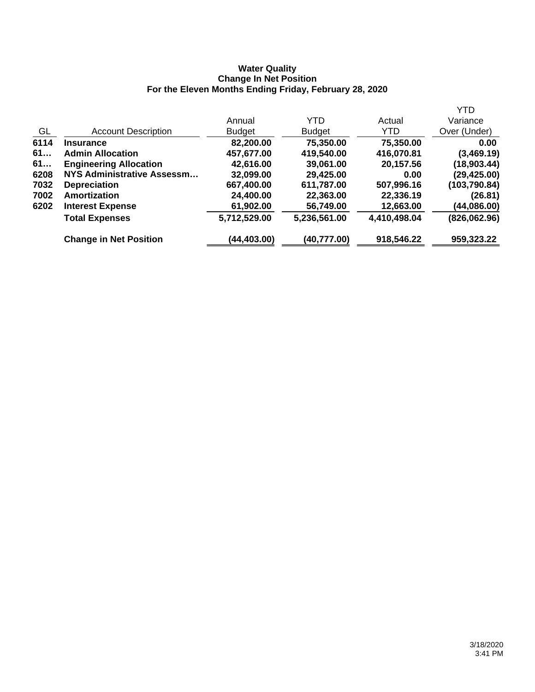#### **Water Quality Change In Net Position For the Eleven Months Ending Friday, February 28, 2020**

|      |                                   |               |               |              | <b>YTD</b>   |
|------|-----------------------------------|---------------|---------------|--------------|--------------|
|      |                                   | Annual        | YTD           | Actual       | Variance     |
| GL   | <b>Account Description</b>        | <b>Budget</b> | <b>Budget</b> | YTD.         | Over (Under) |
| 6114 | <b>Insurance</b>                  | 82,200.00     | 75,350.00     | 75,350.00    | 0.00         |
| 61   | <b>Admin Allocation</b>           | 457,677.00    | 419,540.00    | 416,070.81   | (3,469.19)   |
| 61   | <b>Engineering Allocation</b>     | 42,616.00     | 39,061.00     | 20,157.56    | (18,903.44)  |
| 6208 | <b>NYS Administrative Assessm</b> | 32,099.00     | 29,425.00     | 0.00         | (29,425.00)  |
| 7032 | <b>Depreciation</b>               | 667,400.00    | 611,787.00    | 507,996.16   | (103,790.84) |
| 7002 | Amortization                      | 24,400.00     | 22,363.00     | 22,336.19    | (26.81)      |
| 6202 | <b>Interest Expense</b>           | 61,902.00     | 56,749.00     | 12,663.00    | (44,086.00)  |
|      | <b>Total Expenses</b>             | 5,712,529.00  | 5,236,561.00  | 4,410,498.04 | (826,062.96) |
|      | <b>Change in Net Position</b>     | (44,403.00)   | (40,777.00)   | 918,546.22   | 959,323.22   |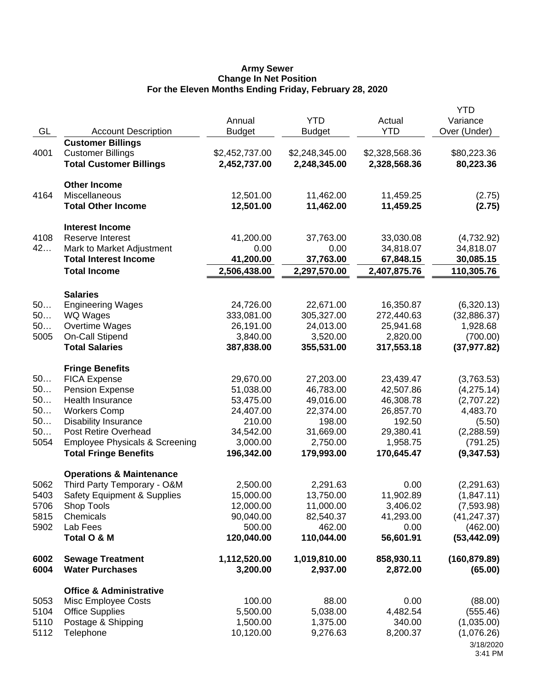#### **Army Sewer Change In Net Position For the Eleven Months Ending Friday, February 28, 2020**

|              |                                            | Annual                 | <b>YTD</b>             | Actual                 | <b>YTD</b><br>Variance  |
|--------------|--------------------------------------------|------------------------|------------------------|------------------------|-------------------------|
| GL           | <b>Account Description</b>                 | <b>Budget</b>          | <b>Budget</b>          | <b>YTD</b>             | Over (Under)            |
|              | <b>Customer Billings</b>                   |                        |                        |                        |                         |
| 4001         | <b>Customer Billings</b>                   | \$2,452,737.00         | \$2,248,345.00         | \$2,328,568.36         | \$80,223.36             |
|              | <b>Total Customer Billings</b>             | 2,452,737.00           | 2,248,345.00           | 2,328,568.36           | 80,223.36               |
|              | <b>Other Income</b>                        |                        |                        |                        |                         |
| 4164         | Miscellaneous                              | 12,501.00              | 11,462.00              | 11,459.25              | (2.75)                  |
|              | <b>Total Other Income</b>                  | 12,501.00              | 11,462.00              | 11,459.25              | (2.75)                  |
|              | <b>Interest Income</b>                     |                        |                        |                        |                         |
| 4108         | <b>Reserve Interest</b>                    | 41,200.00              | 37,763.00              | 33,030.08              | (4,732.92)              |
| 42           | Mark to Market Adjustment                  | 0.00                   | 0.00                   | 34,818.07              | 34,818.07               |
|              | <b>Total Interest Income</b>               | 41,200.00              | 37,763.00              | 67,848.15              | 30,085.15               |
|              | <b>Total Income</b>                        | 2,506,438.00           | 2,297,570.00           | 2,407,875.76           | 110,305.76              |
|              | <b>Salaries</b>                            |                        |                        |                        |                         |
| 50           | <b>Engineering Wages</b>                   | 24,726.00              | 22,671.00              | 16,350.87              | (6,320.13)              |
| 50           | WQ Wages                                   | 333,081.00             | 305,327.00             | 272,440.63             | (32,886.37)             |
| 50           | Overtime Wages                             | 26,191.00              | 24,013.00              | 25,941.68              | 1,928.68                |
| 5005         | On-Call Stipend                            | 3,840.00               | 3,520.00               | 2,820.00               | (700.00)                |
|              | <b>Total Salaries</b>                      | 387,838.00             | 355,531.00             | 317,553.18             | (37, 977.82)            |
|              | <b>Fringe Benefits</b>                     |                        |                        |                        |                         |
| 50           | <b>FICA Expense</b>                        | 29,670.00              | 27,203.00              | 23,439.47              | (3,763.53)              |
| 50<br>50     | <b>Pension Expense</b><br>Health Insurance | 51,038.00<br>53,475.00 | 46,783.00<br>49,016.00 | 42,507.86<br>46,308.78 | (4,275.14)              |
| 50           | <b>Workers Comp</b>                        | 24,407.00              | 22,374.00              | 26,857.70              | (2,707.22)<br>4,483.70  |
| 50           | <b>Disability Insurance</b>                | 210.00                 | 198.00                 | 192.50                 | (5.50)                  |
| 50           | Post Retire Overhead                       | 34,542.00              | 31,669.00              | 29,380.41              | (2,288.59)              |
| 5054         | <b>Employee Physicals &amp; Screening</b>  | 3,000.00               | 2,750.00               | 1,958.75               | (791.25)                |
|              | <b>Total Fringe Benefits</b>               | 196,342.00             | 179,993.00             | 170,645.47             | (9,347.53)              |
|              | <b>Operations &amp; Maintenance</b>        |                        |                        |                        |                         |
| 5062         | Third Party Temporary - O&M                | 2,500.00               | 2,291.63               | 0.00                   | (2,291.63)              |
| 5403         | <b>Safety Equipment &amp; Supplies</b>     | 15,000.00              | 13,750.00              | 11,902.89              | (1,847.11)              |
| 5706         | Shop Tools                                 | 12,000.00              | 11,000.00              | 3,406.02               | (7,593.98)              |
| 5815         | Chemicals                                  | 90,040.00              | 82,540.37              | 41,293.00              | (41, 247.37)            |
| 5902         | Lab Fees                                   | 500.00                 | 462.00                 | 0.00                   | (462.00)                |
|              | Total O & M                                | 120,040.00             | 110,044.00             | 56,601.91              | (53, 442.09)            |
| 6002         | <b>Sewage Treatment</b>                    | 1,112,520.00           | 1,019,810.00           | 858,930.11             | (160, 879.89)           |
| 6004         | <b>Water Purchases</b>                     | 3,200.00               | 2,937.00               | 2,872.00               | (65.00)                 |
|              | <b>Office &amp; Administrative</b>         |                        |                        |                        |                         |
| 5053         | Misc Employee Costs                        | 100.00                 | 88.00                  | 0.00                   | (88.00)                 |
| 5104         | <b>Office Supplies</b>                     | 5,500.00               | 5,038.00               | 4,482.54               | (555.46)                |
| 5110<br>5112 | Postage & Shipping<br>Telephone            | 1,500.00<br>10,120.00  | 1,375.00<br>9,276.63   | 340.00<br>8,200.37     | (1,035.00)              |
|              |                                            |                        |                        |                        | (1,076.26)<br>3/18/2020 |
|              |                                            |                        |                        |                        | 3:41 PM                 |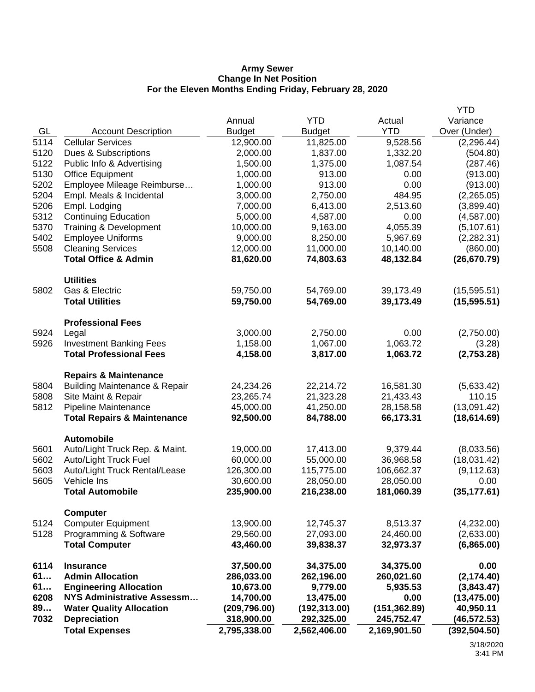#### **Army Sewer Change In Net Position For the Eleven Months Ending Friday, February 28, 2020**

|      |                                          |               |               |               | YTD           |
|------|------------------------------------------|---------------|---------------|---------------|---------------|
|      |                                          | Annual        | <b>YTD</b>    | Actual        | Variance      |
| GL   | <b>Account Description</b>               | <b>Budget</b> | <b>Budget</b> | <b>YTD</b>    | Over (Under)  |
| 5114 | <b>Cellular Services</b>                 | 12,900.00     | 11,825.00     | 9,528.56      | (2, 296.44)   |
| 5120 | Dues & Subscriptions                     | 2,000.00      | 1,837.00      | 1,332.20      | (504.80)      |
| 5122 | Public Info & Advertising                | 1,500.00      | 1,375.00      | 1,087.54      | (287.46)      |
| 5130 | <b>Office Equipment</b>                  | 1,000.00      | 913.00        | 0.00          | (913.00)      |
| 5202 | Employee Mileage Reimburse               | 1,000.00      | 913.00        | 0.00          | (913.00)      |
| 5204 | Empl. Meals & Incidental                 | 3,000.00      | 2,750.00      | 484.95        | (2,265.05)    |
| 5206 | Empl. Lodging                            | 7,000.00      | 6,413.00      | 2,513.60      | (3,899.40)    |
| 5312 | <b>Continuing Education</b>              | 5,000.00      | 4,587.00      | 0.00          | (4, 587.00)   |
| 5370 | Training & Development                   | 10,000.00     | 9,163.00      | 4,055.39      | (5, 107.61)   |
| 5402 | <b>Employee Uniforms</b>                 | 9,000.00      | 8,250.00      | 5,967.69      | (2, 282.31)   |
| 5508 | <b>Cleaning Services</b>                 | 12,000.00     | 11,000.00     | 10,140.00     | (860.00)      |
|      | <b>Total Office &amp; Admin</b>          | 81,620.00     | 74,803.63     | 48,132.84     | (26, 670.79)  |
|      | <b>Utilities</b>                         |               |               |               |               |
| 5802 | Gas & Electric                           | 59,750.00     | 54,769.00     | 39,173.49     | (15, 595.51)  |
|      | <b>Total Utilities</b>                   | 59,750.00     | 54,769.00     | 39,173.49     | (15, 595.51)  |
|      | <b>Professional Fees</b>                 |               |               |               |               |
| 5924 | Legal                                    | 3,000.00      | 2,750.00      | 0.00          | (2,750.00)    |
| 5926 | <b>Investment Banking Fees</b>           | 1,158.00      | 1,067.00      | 1,063.72      | (3.28)        |
|      | <b>Total Professional Fees</b>           | 4,158.00      | 3,817.00      | 1,063.72      | (2,753.28)    |
|      | <b>Repairs &amp; Maintenance</b>         |               |               |               |               |
| 5804 | <b>Building Maintenance &amp; Repair</b> | 24,234.26     | 22,214.72     | 16,581.30     | (5,633.42)    |
| 5808 | Site Maint & Repair                      | 23,265.74     | 21,323.28     | 21,433.43     | 110.15        |
| 5812 | Pipeline Maintenance                     | 45,000.00     | 41,250.00     | 28,158.58     | (13,091.42)   |
|      | <b>Total Repairs &amp; Maintenance</b>   | 92,500.00     | 84,788.00     | 66,173.31     | (18, 614.69)  |
|      | <b>Automobile</b>                        |               |               |               |               |
| 5601 | Auto/Light Truck Rep. & Maint.           | 19,000.00     | 17,413.00     | 9,379.44      | (8,033.56)    |
| 5602 | Auto/Light Truck Fuel                    | 60,000.00     | 55,000.00     | 36,968.58     | (18,031.42)   |
| 5603 | Auto/Light Truck Rental/Lease            | 126,300.00    | 115,775.00    | 106,662.37    | (9, 112.63)   |
| 5605 | Vehicle Ins                              | 30,600.00     | 28,050.00     | 28,050.00     | 0.00          |
|      | <b>Total Automobile</b>                  | 235,900.00    | 216,238.00    | 181,060.39    | (35, 177.61)  |
|      | <b>Computer</b>                          |               |               |               |               |
| 5124 | <b>Computer Equipment</b>                | 13,900.00     | 12,745.37     | 8,513.37      | (4,232.00)    |
| 5128 | Programming & Software                   | 29,560.00     | 27,093.00     | 24,460.00     | (2,633.00)    |
|      | <b>Total Computer</b>                    | 43,460.00     | 39,838.37     | 32,973.37     | (6,865.00)    |
| 6114 | <b>Insurance</b>                         | 37,500.00     | 34,375.00     | 34,375.00     | 0.00          |
| 61   | <b>Admin Allocation</b>                  | 286,033.00    | 262,196.00    | 260,021.60    | (2, 174.40)   |
| 61   | <b>Engineering Allocation</b>            | 10,673.00     | 9,779.00      | 5,935.53      | (3,843.47)    |
| 6208 | <b>NYS Administrative Assessm</b>        | 14,700.00     | 13,475.00     | 0.00          | (13, 475.00)  |
| 89   | <b>Water Quality Allocation</b>          | (209, 796.00) | (192, 313.00) | (151, 362.89) | 40,950.11     |
| 7032 | <b>Depreciation</b>                      | 318,900.00    | 292,325.00    | 245,752.47    | (46, 572.53)  |
|      | <b>Total Expenses</b>                    | 2,795,338.00  | 2,562,406.00  | 2,169,901.50  | (392, 504.50) |
|      |                                          |               |               |               |               |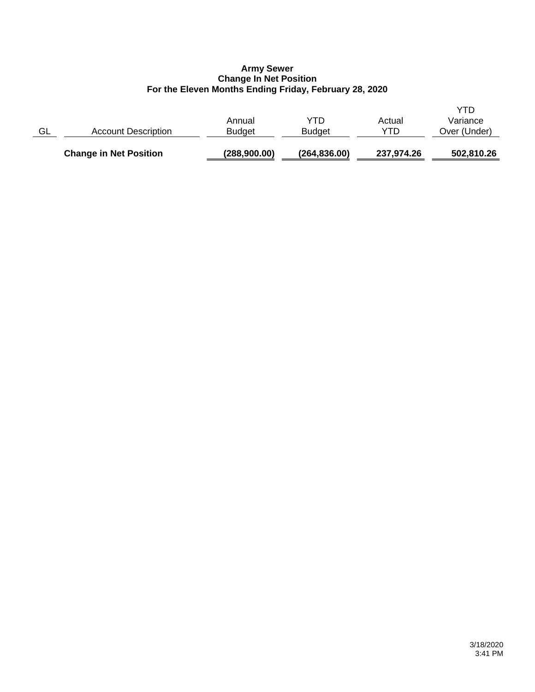## **Army Sewer Change In Net Position For the Eleven Months Ending Friday, February 28, 2020**

|    | <b>Change in Net Position</b> | (288,900.00)            | (264, 836.00)        | 237,974.26    | 502,810.26                      |
|----|-------------------------------|-------------------------|----------------------|---------------|---------------------------------|
| GL | <b>Account Description</b>    | Annual<br><b>Budget</b> | YTD<br><b>Budget</b> | Actual<br>YTD | YTD<br>Variance<br>Over (Under) |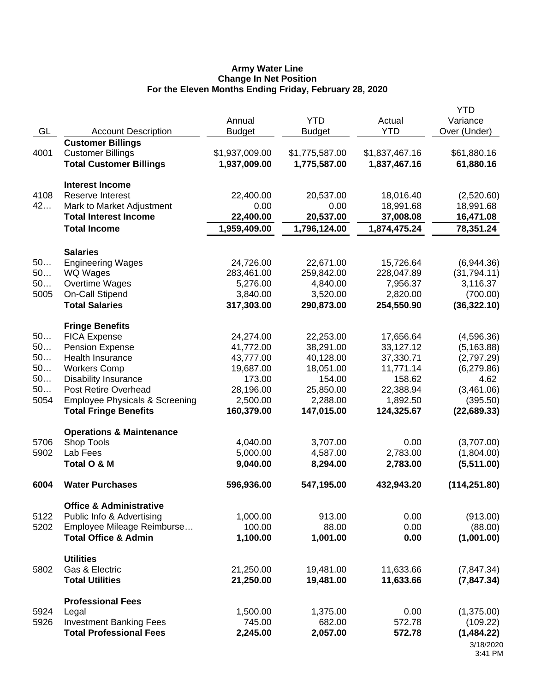#### **Army Water Line Change In Net Position For the Eleven Months Ending Friday, February 28, 2020**

|      |                                           | Annual         | <b>YTD</b>     | Actual         | <b>YTD</b><br>Variance |
|------|-------------------------------------------|----------------|----------------|----------------|------------------------|
| GL   | <b>Account Description</b>                | <b>Budget</b>  | <b>Budget</b>  | <b>YTD</b>     | Over (Under)           |
|      | <b>Customer Billings</b>                  |                |                |                |                        |
| 4001 | <b>Customer Billings</b>                  | \$1,937,009.00 | \$1,775,587.00 | \$1,837,467.16 | \$61,880.16            |
|      | <b>Total Customer Billings</b>            | 1,937,009.00   | 1,775,587.00   | 1,837,467.16   | 61,880.16              |
|      | <b>Interest Income</b>                    |                |                |                |                        |
| 4108 | Reserve Interest                          | 22,400.00      | 20,537.00      | 18,016.40      | (2,520.60)             |
| 42   | Mark to Market Adjustment                 | 0.00           | 0.00           | 18,991.68      | 18,991.68              |
|      | <b>Total Interest Income</b>              | 22,400.00      | 20,537.00      | 37,008.08      | 16,471.08              |
|      | <b>Total Income</b>                       | 1,959,409.00   | 1,796,124.00   | 1,874,475.24   | 78,351.24              |
|      | <b>Salaries</b>                           |                |                |                |                        |
| 50   | <b>Engineering Wages</b>                  | 24,726.00      | 22,671.00      | 15,726.64      | (6,944.36)             |
| 50   | WQ Wages                                  | 283,461.00     | 259,842.00     | 228,047.89     | (31,794.11)            |
| 50   | Overtime Wages                            | 5,276.00       | 4,840.00       | 7,956.37       | 3,116.37               |
| 5005 | On-Call Stipend                           | 3,840.00       | 3,520.00       | 2,820.00       | (700.00)               |
|      | <b>Total Salaries</b>                     | 317,303.00     | 290,873.00     | 254,550.90     | (36, 322.10)           |
|      | <b>Fringe Benefits</b>                    |                |                |                |                        |
| 50   | <b>FICA Expense</b>                       | 24,274.00      | 22,253.00      | 17,656.64      | (4,596.36)             |
| 50   | <b>Pension Expense</b>                    | 41,772.00      | 38,291.00      | 33,127.12      | (5, 163.88)            |
| 50   | Health Insurance                          | 43,777.00      | 40,128.00      | 37,330.71      | (2,797.29)             |
| 50   | <b>Workers Comp</b>                       | 19,687.00      | 18,051.00      | 11,771.14      | (6,279.86)             |
| 50   | <b>Disability Insurance</b>               | 173.00         | 154.00         | 158.62         | 4.62                   |
| 50   | <b>Post Retire Overhead</b>               | 28,196.00      | 25,850.00      | 22,388.94      | (3,461.06)             |
| 5054 | <b>Employee Physicals &amp; Screening</b> | 2,500.00       | 2,288.00       | 1,892.50       | (395.50)               |
|      | <b>Total Fringe Benefits</b>              | 160,379.00     | 147,015.00     | 124,325.67     | (22, 689.33)           |
|      | <b>Operations &amp; Maintenance</b>       |                |                |                |                        |
| 5706 | Shop Tools                                | 4,040.00       | 3,707.00       | 0.00           | (3,707.00)             |
| 5902 | Lab Fees                                  | 5,000.00       | 4,587.00       | 2,783.00       | (1,804.00)             |
|      | Total O & M                               | 9,040.00       | 8,294.00       | 2,783.00       | (5,511.00)             |
| 6004 | <b>Water Purchases</b>                    | 596,936.00     | 547,195.00     | 432,943.20     | (114, 251.80)          |
|      | <b>Office &amp; Administrative</b>        |                |                |                |                        |
| 5122 | Public Info & Advertising                 | 1,000.00       | 913.00         | 0.00           | (913.00)               |
| 5202 | Employee Mileage Reimburse                | 100.00         | 88.00          | 0.00           | (88.00)                |
|      | <b>Total Office &amp; Admin</b>           | 1,100.00       | 1,001.00       | 0.00           | (1,001.00)             |
|      | <b>Utilities</b>                          |                |                |                |                        |
| 5802 | Gas & Electric                            | 21,250.00      | 19,481.00      | 11,633.66      | (7, 847.34)            |
|      | <b>Total Utilities</b>                    | 21,250.00      | 19,481.00      | 11,633.66      | (7, 847.34)            |
|      | <b>Professional Fees</b>                  |                |                |                |                        |
| 5924 | Legal                                     | 1,500.00       | 1,375.00       | 0.00           | (1,375.00)             |
| 5926 | <b>Investment Banking Fees</b>            | 745.00         | 682.00         | 572.78         | (109.22)               |
|      | <b>Total Professional Fees</b>            | 2,245.00       | 2,057.00       | 572.78         | (1,484.22)             |
|      |                                           |                |                |                | 3/18/2020<br>3:41 PM   |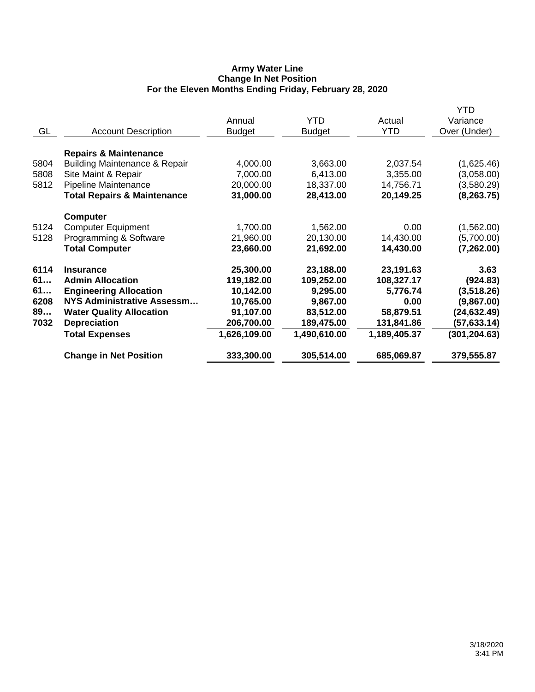## **Army Water Line Change In Net Position For the Eleven Months Ending Friday, February 28, 2020**

|      |                                          |               |               |              | YTD           |
|------|------------------------------------------|---------------|---------------|--------------|---------------|
|      |                                          | Annual        | <b>YTD</b>    | Actual       | Variance      |
| GL   | <b>Account Description</b>               | <b>Budget</b> | <b>Budget</b> | <b>YTD</b>   | Over (Under)  |
|      |                                          |               |               |              |               |
|      | <b>Repairs &amp; Maintenance</b>         |               |               |              |               |
| 5804 | <b>Building Maintenance &amp; Repair</b> | 4,000.00      | 3,663.00      | 2,037.54     | (1,625.46)    |
| 5808 | Site Maint & Repair                      | 7,000.00      | 6,413.00      | 3,355.00     | (3,058.00)    |
| 5812 | Pipeline Maintenance                     | 20,000.00     | 18,337.00     | 14,756.71    | (3,580.29)    |
|      | <b>Total Repairs &amp; Maintenance</b>   | 31,000.00     | 28,413.00     | 20,149.25    | (8, 263.75)   |
|      | <b>Computer</b>                          |               |               |              |               |
| 5124 | <b>Computer Equipment</b>                | 1,700.00      | 1,562.00      | 0.00         | (1,562.00)    |
| 5128 | Programming & Software                   | 21,960.00     | 20,130.00     | 14,430.00    | (5,700.00)    |
|      | <b>Total Computer</b>                    | 23,660.00     | 21,692.00     | 14,430.00    | (7, 262.00)   |
| 6114 | <b>Insurance</b>                         | 25,300.00     | 23,188.00     | 23,191.63    | 3.63          |
| 61   | <b>Admin Allocation</b>                  | 119,182.00    | 109,252.00    | 108,327.17   | (924.83)      |
| 61   | <b>Engineering Allocation</b>            | 10,142.00     | 9,295.00      | 5,776.74     | (3,518.26)    |
| 6208 | NYS Administrative Assessm               | 10,765.00     | 9,867.00      | 0.00         | (9,867.00)    |
| 89   | <b>Water Quality Allocation</b>          | 91,107.00     | 83,512.00     | 58,879.51    | (24, 632.49)  |
| 7032 | <b>Depreciation</b>                      | 206,700.00    | 189,475.00    | 131,841.86   | (57, 633.14)  |
|      | <b>Total Expenses</b>                    | 1,626,109.00  | 1,490,610.00  | 1,189,405.37 | (301, 204.63) |
|      | <b>Change in Net Position</b>            | 333,300.00    | 305,514.00    | 685,069.87   | 379,555.87    |
|      |                                          |               |               |              |               |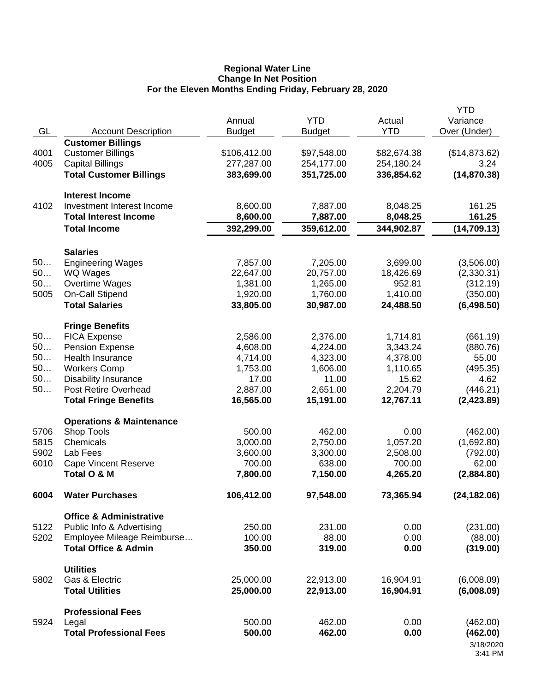#### **Regional Water Line Change In Net Position For the Eleven Months Ending Friday, February 28, 2020**

|          |                                                   |                      |                      |                      | <b>YTD</b>               |
|----------|---------------------------------------------------|----------------------|----------------------|----------------------|--------------------------|
| GL       | <b>Account Description</b>                        | Annual               | <b>YTD</b>           | Actual<br><b>YTD</b> | Variance<br>Over (Under) |
|          | <b>Customer Billings</b>                          | <b>Budget</b>        | <b>Budget</b>        |                      |                          |
| 4001     | <b>Customer Billings</b>                          | \$106,412.00         | \$97,548.00          | \$82,674.38          | (\$14,873.62)            |
| 4005     | <b>Capital Billings</b>                           | 277,287.00           | 254,177.00           | 254,180.24           | 3.24                     |
|          | <b>Total Customer Billings</b>                    | 383,699.00           | 351,725.00           | 336,854.62           | (14, 870.38)             |
|          |                                                   |                      |                      |                      |                          |
|          | <b>Interest Income</b>                            |                      |                      |                      |                          |
| 4102     | Investment Interest Income                        | 8,600.00             | 7,887.00             | 8,048.25             | 161.25                   |
|          | <b>Total Interest Income</b>                      | 8,600.00             | 7,887.00             | 8,048.25             | 161.25                   |
|          | <b>Total Income</b>                               | 392,299.00           | 359,612.00           | 344,902.87           | (14, 709.13)             |
|          | <b>Salaries</b>                                   |                      |                      |                      |                          |
| 50       | <b>Engineering Wages</b>                          | 7,857.00             | 7,205.00             | 3,699.00             | (3,506.00)               |
| 50       | WQ Wages                                          | 22,647.00            | 20,757.00            | 18,426.69            | (2,330.31)               |
| 50       | Overtime Wages                                    | 1,381.00             | 1,265.00             | 952.81               | (312.19)                 |
| 5005     | On-Call Stipend                                   | 1,920.00             | 1,760.00             | 1,410.00             | (350.00)                 |
|          | <b>Total Salaries</b>                             | 33,805.00            | 30,987.00            | 24,488.50            | (6,498.50)               |
|          |                                                   |                      |                      |                      |                          |
|          | <b>Fringe Benefits</b>                            |                      |                      |                      |                          |
| 50       | <b>FICA Expense</b>                               | 2,586.00             | 2,376.00             | 1,714.81             | (661.19)                 |
| 50       | <b>Pension Expense</b><br><b>Health Insurance</b> | 4,608.00             | 4,224.00             | 3,343.24             | (880.76)                 |
| 50<br>50 | <b>Workers Comp</b>                               | 4,714.00<br>1,753.00 | 4,323.00<br>1,606.00 | 4,378.00<br>1,110.65 | 55.00                    |
| 50       | <b>Disability Insurance</b>                       | 17.00                | 11.00                | 15.62                | (495.35)<br>4.62         |
| 50       | Post Retire Overhead                              | 2,887.00             | 2,651.00             | 2,204.79             | (446.21)                 |
|          | <b>Total Fringe Benefits</b>                      | 16,565.00            | 15,191.00            | 12,767.11            | (2,423.89)               |
|          |                                                   |                      |                      |                      |                          |
|          | <b>Operations &amp; Maintenance</b>               |                      |                      |                      |                          |
| 5706     | Shop Tools                                        | 500.00               | 462.00               | 0.00                 | (462.00)                 |
| 5815     | Chemicals                                         | 3,000.00             | 2,750.00             | 1,057.20             | (1,692.80)               |
| 5902     | Lab Fees                                          | 3,600.00             | 3,300.00             | 2,508.00             | (792.00)                 |
| 6010     | <b>Cape Vincent Reserve</b>                       | 700.00               | 638.00               | 700.00               | 62.00                    |
|          | Total O & M                                       | 7,800.00             | 7,150.00             | 4,265.20             | (2,884.80)               |
| 6004     | <b>Water Purchases</b>                            | 106,412.00           | 97,548.00            | 73,365.94            | (24, 182.06)             |
|          | <b>Office &amp; Administrative</b>                |                      |                      |                      |                          |
| 5122     | Public Info & Advertising                         | 250.00               | 231.00               | 0.00                 | (231.00)                 |
| 5202     | Employee Mileage Reimburse                        | 100.00               | 88.00                | 0.00                 | (88.00)                  |
|          | <b>Total Office &amp; Admin</b>                   | 350.00               | 319.00               | 0.00                 | (319.00)                 |
|          | <b>Utilities</b>                                  |                      |                      |                      |                          |
| 5802     | Gas & Electric                                    | 25,000.00            | 22,913.00            | 16,904.91            | (6,008.09)               |
|          | <b>Total Utilities</b>                            | 25,000.00            | 22,913.00            | 16,904.91            | (6,008.09)               |
|          |                                                   |                      |                      |                      |                          |
|          | <b>Professional Fees</b>                          |                      |                      |                      |                          |
| 5924     | Legal                                             | 500.00               | 462.00               | 0.00                 | (462.00)                 |
|          | <b>Total Professional Fees</b>                    | 500.00               | 462.00               | 0.00                 | (462.00)                 |
|          |                                                   |                      |                      |                      | 3/18/2020<br>3:41 PM     |
|          |                                                   |                      |                      |                      |                          |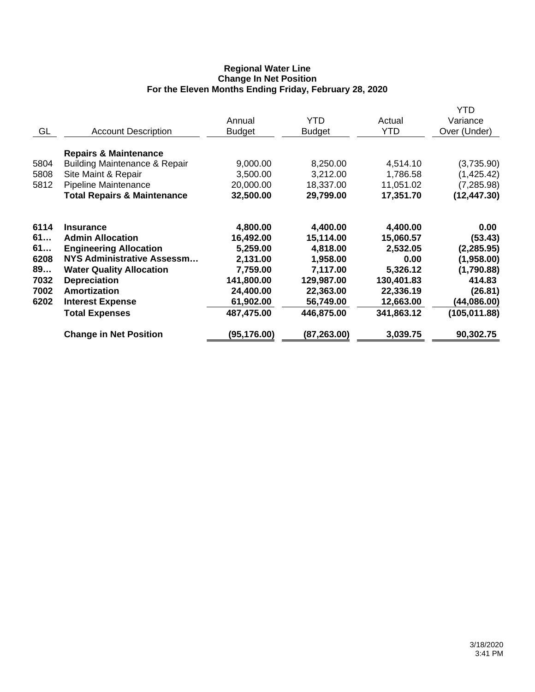## **Regional Water Line Change In Net Position For the Eleven Months Ending Friday, February 28, 2020**

| GL                                                     | <b>Account Description</b>                                                                                                                                                                                                               | Annual<br><b>Budget</b>                                                                                         | YTD<br><b>Budget</b>                                                                                            | Actual<br><b>YTD</b>                                                                                        | YTD<br>Variance<br>Over (Under)                                                                                  |
|--------------------------------------------------------|------------------------------------------------------------------------------------------------------------------------------------------------------------------------------------------------------------------------------------------|-----------------------------------------------------------------------------------------------------------------|-----------------------------------------------------------------------------------------------------------------|-------------------------------------------------------------------------------------------------------------|------------------------------------------------------------------------------------------------------------------|
| 5804<br>5808<br>5812                                   | <b>Repairs &amp; Maintenance</b><br><b>Building Maintenance &amp; Repair</b><br>Site Maint & Repair<br>Pipeline Maintenance<br><b>Total Repairs &amp; Maintenance</b>                                                                    | 9,000.00<br>3,500.00<br>20,000.00<br>32,500.00                                                                  | 8,250.00<br>3,212.00<br>18,337.00<br>29,799.00                                                                  | 4,514.10<br>1,786.58<br>11,051.02<br>17,351.70                                                              | (3,735.90)<br>(1,425.42)<br>(7, 285.98)<br>(12, 447.30)                                                          |
| 6114<br>61<br>61<br>6208<br>89<br>7032<br>7002<br>6202 | <b>Insurance</b><br><b>Admin Allocation</b><br><b>Engineering Allocation</b><br>NYS Administrative Assessm<br><b>Water Quality Allocation</b><br><b>Depreciation</b><br>Amortization<br><b>Interest Expense</b><br><b>Total Expenses</b> | 4,800.00<br>16,492.00<br>5,259.00<br>2,131.00<br>7,759.00<br>141,800.00<br>24,400.00<br>61,902.00<br>487,475.00 | 4,400.00<br>15,114.00<br>4,818.00<br>1,958.00<br>7,117.00<br>129,987.00<br>22,363.00<br>56,749.00<br>446,875.00 | 4,400.00<br>15,060.57<br>2,532.05<br>0.00<br>5,326.12<br>130,401.83<br>22,336.19<br>12,663.00<br>341,863.12 | 0.00<br>(53.43)<br>(2, 285.95)<br>(1,958.00)<br>(1,790.88)<br>414.83<br>(26.81)<br>(44, 086.00)<br>(105, 011.88) |
|                                                        | <b>Change in Net Position</b>                                                                                                                                                                                                            | (95, 176.00)                                                                                                    | (87, 263.00)                                                                                                    | 3,039.75                                                                                                    | 90,302.75                                                                                                        |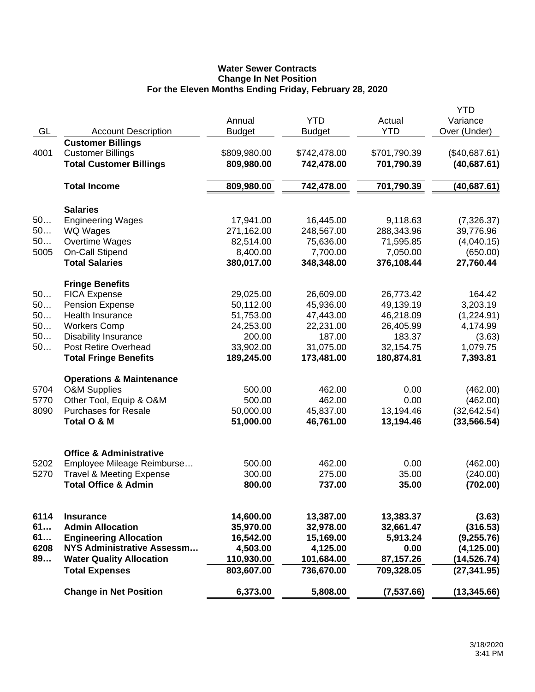# **Water Sewer Contracts Change In Net Position For the Eleven Months Ending Friday, February 28, 2020**

|      |                                     |               |                        |              | <b>YTD</b>                   |
|------|-------------------------------------|---------------|------------------------|--------------|------------------------------|
|      |                                     | Annual        | <b>YTD</b>             | Actual       | Variance                     |
| GL   | <b>Account Description</b>          | <b>Budget</b> | <b>Budget</b>          | <b>YTD</b>   | Over (Under)                 |
|      | <b>Customer Billings</b>            |               |                        |              |                              |
| 4001 | <b>Customer Billings</b>            | \$809,980.00  | \$742,478.00           | \$701,790.39 | (\$40,687.61)                |
|      | <b>Total Customer Billings</b>      | 809,980.00    | 742,478.00             | 701,790.39   | (40, 687.61)                 |
|      | <b>Total Income</b>                 | 809,980.00    | 742,478.00             | 701,790.39   | (40, 687.61)                 |
|      | <b>Salaries</b>                     |               |                        |              |                              |
| 50   | <b>Engineering Wages</b>            | 17,941.00     | 16,445.00              | 9,118.63     | (7,326.37)                   |
| 50   | WQ Wages                            | 271,162.00    | 248,567.00             | 288,343.96   | 39,776.96                    |
| 50   | Overtime Wages                      | 82,514.00     | 75,636.00              | 71,595.85    | (4,040.15)                   |
| 5005 | On-Call Stipend                     | 8,400.00      | 7,700.00               | 7,050.00     | (650.00)                     |
|      | <b>Total Salaries</b>               | 380,017.00    | 348,348.00             | 376,108.44   | 27,760.44                    |
|      | <b>Fringe Benefits</b>              |               |                        |              |                              |
| 50   | <b>FICA Expense</b>                 | 29,025.00     | 26,609.00              | 26,773.42    | 164.42                       |
| 50   | Pension Expense                     | 50,112.00     | 45,936.00              | 49,139.19    | 3,203.19                     |
| 50   | <b>Health Insurance</b>             | 51,753.00     | 47,443.00              | 46,218.09    | (1,224.91)                   |
| 50   | <b>Workers Comp</b>                 | 24,253.00     | 22,231.00              | 26,405.99    | 4,174.99                     |
| 50   | <b>Disability Insurance</b>         | 200.00        | 187.00                 | 183.37       | (3.63)                       |
| 50   | <b>Post Retire Overhead</b>         | 33,902.00     | 31,075.00              | 32,154.75    | 1,079.75                     |
|      | <b>Total Fringe Benefits</b>        | 189,245.00    | 173,481.00             | 180,874.81   | 7,393.81                     |
|      | <b>Operations &amp; Maintenance</b> |               |                        |              |                              |
| 5704 | <b>O&amp;M Supplies</b>             | 500.00        | 462.00                 | 0.00         | (462.00)                     |
| 5770 | Other Tool, Equip & O&M             | 500.00        | 462.00                 | 0.00         | (462.00)                     |
| 8090 | <b>Purchases for Resale</b>         | 50,000.00     | 45,837.00              | 13,194.46    | (32, 642.54)                 |
|      | Total O & M                         | 51,000.00     | 46,761.00              | 13,194.46    | (33, 566.54)                 |
|      |                                     |               |                        |              |                              |
|      | <b>Office &amp; Administrative</b>  |               |                        |              |                              |
| 5202 | Employee Mileage Reimburse          | 500.00        | 462.00                 | 0.00         | (462.00)                     |
| 5270 | <b>Travel &amp; Meeting Expense</b> | 300.00        | 275.00                 | 35.00        | (240.00)                     |
|      | <b>Total Office &amp; Admin</b>     | 800.00        | 737.00                 | 35.00        | (702.00)                     |
| 6114 | <b>Insurance</b>                    | 14,600.00     | 13,387.00              | 13,383.37    | (3.63)                       |
| 61   | <b>Admin Allocation</b>             | 35,970.00     | 32,978.00              | 32,661.47    |                              |
| 61   | <b>Engineering Allocation</b>       | 16,542.00     | 15,169.00              | 5,913.24     | (316.53)<br>(9,255.76)       |
| 6208 | <b>NYS Administrative Assessm</b>   | 4,503.00      |                        | 0.00         |                              |
| 89   | <b>Water Quality Allocation</b>     | 110,930.00    | 4,125.00<br>101,684.00 | 87,157.26    | (4, 125.00)                  |
|      | <b>Total Expenses</b>               | 803,607.00    | 736,670.00             |              | (14, 526.74)<br>(27, 341.95) |
|      |                                     |               |                        | 709,328.05   |                              |
|      | <b>Change in Net Position</b>       | 6,373.00      | 5,808.00               | (7,537.66)   | (13, 345.66)                 |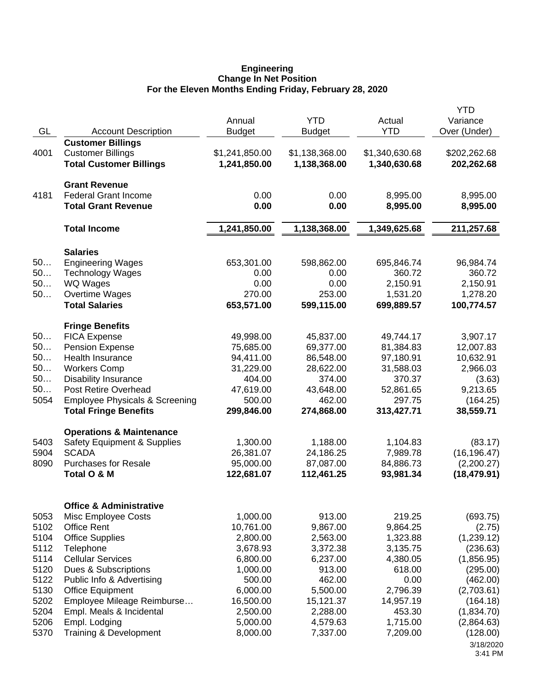#### **Engineering Change In Net Position For the Eleven Months Ending Friday, February 28, 2020**

|      |                                             | Annual         | <b>YTD</b>     | Actual         | <b>YTD</b><br>Variance |
|------|---------------------------------------------|----------------|----------------|----------------|------------------------|
| GL   | <b>Account Description</b>                  | <b>Budget</b>  | <b>Budget</b>  | <b>YTD</b>     | Over (Under)           |
|      | <b>Customer Billings</b>                    |                |                |                |                        |
| 4001 | <b>Customer Billings</b>                    | \$1,241,850.00 | \$1,138,368.00 | \$1,340,630.68 | \$202,262.68           |
|      | <b>Total Customer Billings</b>              | 1,241,850.00   | 1,138,368.00   | 1,340,630.68   | 202,262.68             |
|      | <b>Grant Revenue</b>                        |                |                |                |                        |
| 4181 | <b>Federal Grant Income</b>                 | 0.00           | 0.00           | 8,995.00       | 8,995.00               |
|      | <b>Total Grant Revenue</b>                  | 0.00           | 0.00           | 8,995.00       | 8,995.00               |
|      | <b>Total Income</b>                         | 1,241,850.00   | 1,138,368.00   | 1,349,625.68   | 211,257.68             |
|      |                                             |                |                |                |                        |
| 50   | <b>Salaries</b><br><b>Engineering Wages</b> | 653,301.00     | 598,862.00     | 695,846.74     | 96,984.74              |
| 50   | <b>Technology Wages</b>                     | 0.00           | 0.00           | 360.72         | 360.72                 |
| 50   | WQ Wages                                    | 0.00           | 0.00           | 2,150.91       | 2,150.91               |
| 50   | Overtime Wages                              | 270.00         | 253.00         | 1,531.20       | 1,278.20               |
|      | <b>Total Salaries</b>                       | 653,571.00     | 599,115.00     | 699,889.57     | 100,774.57             |
|      | <b>Fringe Benefits</b>                      |                |                |                |                        |
| 50   | <b>FICA Expense</b>                         | 49,998.00      | 45,837.00      | 49,744.17      | 3,907.17               |
| 50   | <b>Pension Expense</b>                      | 75,685.00      | 69,377.00      | 81,384.83      | 12,007.83              |
| 50   | <b>Health Insurance</b>                     | 94,411.00      | 86,548.00      | 97,180.91      | 10,632.91              |
| 50   | <b>Workers Comp</b>                         | 31,229.00      | 28,622.00      | 31,588.03      | 2,966.03               |
| 50   | <b>Disability Insurance</b>                 | 404.00         | 374.00         | 370.37         | (3.63)                 |
| 50   | <b>Post Retire Overhead</b>                 | 47,619.00      | 43,648.00      | 52,861.65      | 9,213.65               |
| 5054 | <b>Employee Physicals &amp; Screening</b>   | 500.00         | 462.00         | 297.75         | (164.25)               |
|      | <b>Total Fringe Benefits</b>                | 299,846.00     | 274,868.00     | 313,427.71     | 38,559.71              |
|      | <b>Operations &amp; Maintenance</b>         |                |                |                |                        |
| 5403 | Safety Equipment & Supplies                 | 1,300.00       | 1,188.00       | 1,104.83       | (83.17)                |
| 5904 | <b>SCADA</b>                                | 26,381.07      | 24,186.25      | 7,989.78       | (16, 196.47)           |
| 8090 | <b>Purchases for Resale</b>                 | 95,000.00      | 87,087.00      | 84,886.73      | (2,200.27)             |
|      | Total O & M                                 | 122,681.07     | 112,461.25     | 93,981.34      | (18, 479.91)           |
|      | <b>Office &amp; Administrative</b>          |                |                |                |                        |
| 5053 | Misc Employee Costs                         | 1,000.00       | 913.00         | 219.25         | (693.75)               |
| 5102 | <b>Office Rent</b>                          | 10,761.00      | 9,867.00       | 9,864.25       | (2.75)                 |
| 5104 | <b>Office Supplies</b>                      | 2,800.00       | 2,563.00       | 1,323.88       | (1,239.12)             |
| 5112 | Telephone                                   | 3,678.93       | 3,372.38       | 3,135.75       | (236.63)               |
| 5114 | <b>Cellular Services</b>                    | 6,800.00       | 6,237.00       | 4,380.05       | (1,856.95)             |
| 5120 | Dues & Subscriptions                        | 1,000.00       | 913.00         | 618.00         | (295.00)               |
| 5122 | Public Info & Advertising                   | 500.00         | 462.00         | 0.00           | (462.00)               |
| 5130 | <b>Office Equipment</b>                     | 6,000.00       | 5,500.00       | 2,796.39       | (2,703.61)             |
| 5202 | Employee Mileage Reimburse                  | 16,500.00      | 15,121.37      | 14,957.19      | (164.18)               |
| 5204 | Empl. Meals & Incidental                    | 2,500.00       | 2,288.00       | 453.30         | (1,834.70)             |
| 5206 | Empl. Lodging                               | 5,000.00       | 4,579.63       | 1,715.00       | (2,864.63)             |
| 5370 | Training & Development                      | 8,000.00       | 7,337.00       | 7,209.00       | (128.00)               |
|      |                                             |                |                |                | 3/18/2020<br>3:41 PM   |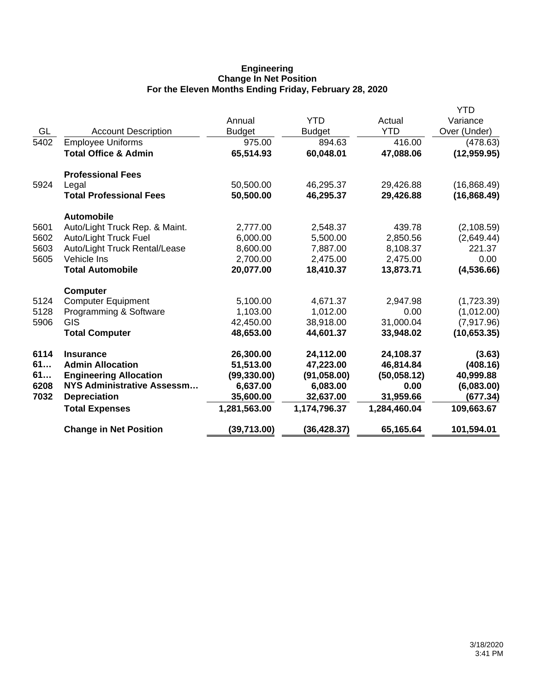## **Engineering Change In Net Position For the Eleven Months Ending Friday, February 28, 2020**

|      |                                 |               |               |              | YTD          |
|------|---------------------------------|---------------|---------------|--------------|--------------|
|      |                                 | Annual        | <b>YTD</b>    | Actual       | Variance     |
| GL   | <b>Account Description</b>      | <b>Budget</b> | <b>Budget</b> | <b>YTD</b>   | Over (Under) |
| 5402 | <b>Employee Uniforms</b>        | 975.00        | 894.63        | 416.00       | (478.63)     |
|      | <b>Total Office &amp; Admin</b> | 65,514.93     | 60,048.01     | 47,088.06    | (12, 959.95) |
|      | <b>Professional Fees</b>        |               |               |              |              |
| 5924 | Legal                           | 50,500.00     | 46,295.37     | 29,426.88    | (16,868.49)  |
|      | <b>Total Professional Fees</b>  | 50,500.00     | 46,295.37     | 29,426.88    | (16, 868.49) |
|      | <b>Automobile</b>               |               |               |              |              |
| 5601 | Auto/Light Truck Rep. & Maint.  | 2,777.00      | 2,548.37      | 439.78       | (2, 108.59)  |
| 5602 | Auto/Light Truck Fuel           | 6,000.00      | 5,500.00      | 2,850.56     | (2,649.44)   |
| 5603 | Auto/Light Truck Rental/Lease   | 8,600.00      | 7,887.00      | 8,108.37     | 221.37       |
| 5605 | Vehicle Ins                     | 2,700.00      | 2,475.00      | 2,475.00     | 0.00         |
|      | <b>Total Automobile</b>         | 20,077.00     | 18,410.37     | 13,873.71    | (4,536.66)   |
|      | <b>Computer</b>                 |               |               |              |              |
| 5124 | <b>Computer Equipment</b>       | 5,100.00      | 4,671.37      | 2,947.98     | (1,723.39)   |
| 5128 | Programming & Software          | 1,103.00      | 1,012.00      | 0.00         | (1,012.00)   |
| 5906 | <b>GIS</b>                      | 42,450.00     | 38,918.00     | 31,000.04    | (7,917.96)   |
|      | <b>Total Computer</b>           | 48,653.00     | 44,601.37     | 33,948.02    | (10, 653.35) |
| 6114 | <b>Insurance</b>                | 26,300.00     | 24,112.00     | 24,108.37    | (3.63)       |
| 61   | <b>Admin Allocation</b>         | 51,513.00     | 47,223.00     | 46,814.84    | (408.16)     |
| 61   | <b>Engineering Allocation</b>   | (99, 330.00)  | (91,058.00)   | (50,058.12)  | 40,999.88    |
| 6208 | NYS Administrative Assessm      | 6,637.00      | 6,083.00      | 0.00         | (6,083.00)   |
| 7032 | <b>Depreciation</b>             | 35,600.00     | 32,637.00     | 31,959.66    | (677.34)     |
|      | <b>Total Expenses</b>           | 1,281,563.00  | 1,174,796.37  | 1,284,460.04 | 109,663.67   |
|      | <b>Change in Net Position</b>   | (39, 713.00)  | (36, 428.37)  | 65,165.64    | 101,594.01   |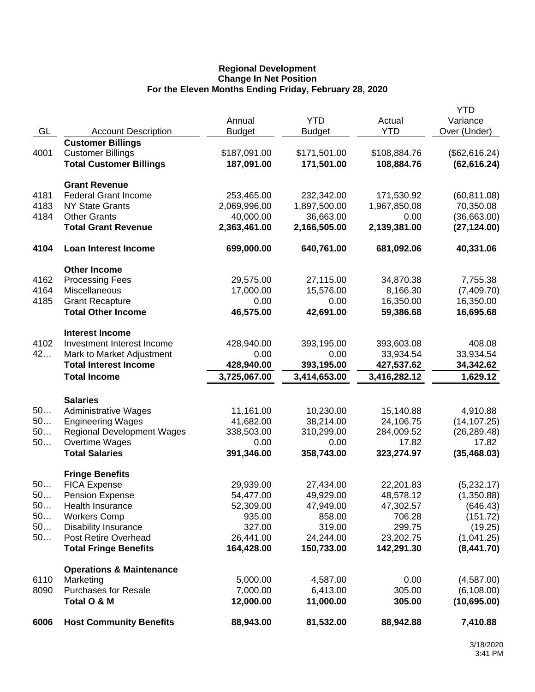## **Regional Development Change In Net Position For the Eleven Months Ending Friday, February 28, 2020**

|      |                                     |                           |                           |                      | <b>YTD</b>                  |
|------|-------------------------------------|---------------------------|---------------------------|----------------------|-----------------------------|
|      |                                     | Annual                    | <b>YTD</b>                | Actual               | Variance                    |
| GL   | <b>Account Description</b>          | <b>Budget</b>             | <b>Budget</b>             | <b>YTD</b>           | Over (Under)                |
|      | <b>Customer Billings</b>            |                           |                           |                      |                             |
| 4001 | <b>Customer Billings</b>            | \$187,091.00              | \$171,501.00              | \$108,884.76         | (\$62,616.24)               |
|      | <b>Total Customer Billings</b>      | 187,091.00                | 171,501.00                | 108,884.76           | (62, 616.24)                |
|      | <b>Grant Revenue</b>                |                           |                           |                      |                             |
| 4181 | <b>Federal Grant Income</b>         | 253,465.00                |                           |                      |                             |
| 4183 | <b>NY State Grants</b>              |                           | 232,342.00                | 171,530.92           | (60, 811.08)                |
| 4184 | <b>Other Grants</b>                 | 2,069,996.00<br>40,000.00 | 1,897,500.00<br>36,663.00 | 1,967,850.08<br>0.00 | 70,350.08                   |
|      | <b>Total Grant Revenue</b>          | 2,363,461.00              | 2,166,505.00              | 2,139,381.00         | (36,663.00)<br>(27, 124.00) |
|      |                                     |                           |                           |                      |                             |
| 4104 | Loan Interest Income                | 699,000.00                | 640,761.00                | 681,092.06           | 40,331.06                   |
|      | <b>Other Income</b>                 |                           |                           |                      |                             |
| 4162 | <b>Processing Fees</b>              | 29,575.00                 | 27,115.00                 | 34,870.38            | 7,755.38                    |
| 4164 | <b>Miscellaneous</b>                | 17,000.00                 | 15,576.00                 | 8,166.30             | (7,409.70)                  |
| 4185 | <b>Grant Recapture</b>              | 0.00                      | 0.00                      | 16,350.00            | 16,350.00                   |
|      | <b>Total Other Income</b>           | 46,575.00                 | 42,691.00                 | 59,386.68            | 16,695.68                   |
|      | <b>Interest Income</b>              |                           |                           |                      |                             |
| 4102 | Investment Interest Income          | 428,940.00                | 393,195.00                | 393,603.08           | 408.08                      |
| 42   | Mark to Market Adjustment           | 0.00                      | 0.00                      | 33,934.54            | 33,934.54                   |
|      | <b>Total Interest Income</b>        | 428,940.00                | 393,195.00                | 427,537.62           | 34,342.62                   |
|      | <b>Total Income</b>                 | 3,725,067.00              | 3,414,653.00              | 3,416,282.12         | 1,629.12                    |
|      |                                     |                           |                           |                      |                             |
|      | <b>Salaries</b>                     |                           |                           |                      |                             |
| 50   | <b>Administrative Wages</b>         | 11,161.00                 | 10,230.00                 | 15,140.88            | 4,910.88                    |
| 50   | <b>Engineering Wages</b>            | 41,682.00                 | 38,214.00                 | 24,106.75            | (14, 107.25)                |
| 50   | <b>Regional Development Wages</b>   | 338,503.00                | 310,299.00                | 284,009.52           | (26, 289.48)                |
| 50   | Overtime Wages                      | 0.00                      | 0.00                      | 17.82                | 17.82                       |
|      | <b>Total Salaries</b>               | 391,346.00                | 358,743.00                | 323,274.97           | (35, 468.03)                |
|      | <b>Fringe Benefits</b>              |                           |                           |                      |                             |
| 50   | <b>FICA Expense</b>                 | 29,939.00                 | 27,434.00                 | 22,201.83            | (5,232.17)                  |
| 50.  | Pension Expense                     | 54,477.00                 | 49,929.00                 | 48,578.12            | (1,350.88)                  |
| 50   | <b>Health Insurance</b>             | 52,309.00                 | 47,949.00                 | 47,302.57            | (646.43)                    |
| 50   | <b>Workers Comp</b>                 | 935.00                    | 858.00                    | 706.28               | (151.72)                    |
| 50   | Disability Insurance                | 327.00                    | 319.00                    | 299.75               | (19.25)                     |
| 50   | Post Retire Overhead                | 26,441.00                 | 24,244.00                 | 23,202.75            | (1,041.25)                  |
|      | <b>Total Fringe Benefits</b>        | 164,428.00                | 150,733.00                | 142,291.30           | (8,441.70)                  |
|      | <b>Operations &amp; Maintenance</b> |                           |                           |                      |                             |
| 6110 | Marketing                           | 5,000.00                  | 4,587.00                  | 0.00                 | (4,587.00)                  |
| 8090 | <b>Purchases for Resale</b>         | 7,000.00                  | 6,413.00                  | 305.00               | (6, 108.00)                 |
|      | Total O & M                         | 12,000.00                 | 11,000.00                 | 305.00               | (10,695.00)                 |
| 6006 | <b>Host Community Benefits</b>      | 88,943.00                 | 81,532.00                 | 88,942.88            | 7,410.88                    |